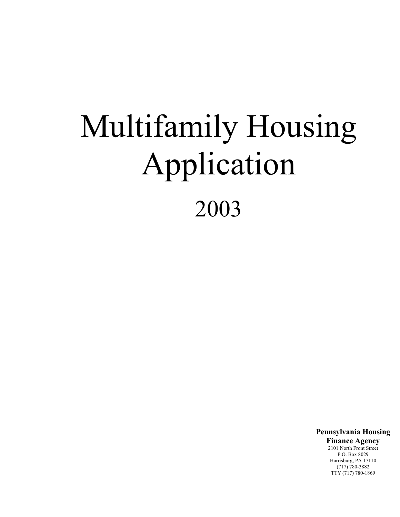# Multifamily Housing Application 2003

**Pennsylvania Housing**

**Finance Agency** 2101 North Front Street P.O. Box 8029 Harrisburg, PA 17110 (717) 780-3882 TTY (717) 780-1869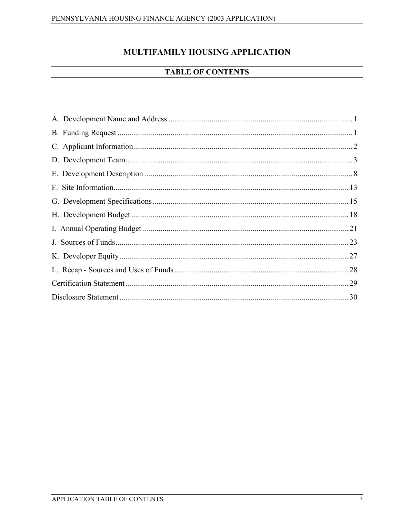# MULTIFAMILY HOUSING APPLICATION

# **TABLE OF CONTENTS**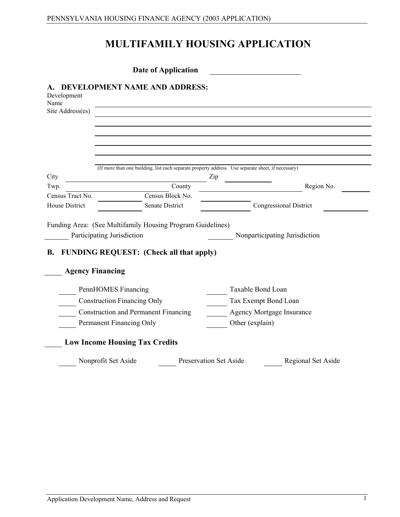# **MULTIFAMILY HOUSING APPLICATION**

|                                         | <b>Date of Application</b>                                                                         |                               |                      |                                  |
|-----------------------------------------|----------------------------------------------------------------------------------------------------|-------------------------------|----------------------|----------------------------------|
| Development<br>Name<br>Site Address(es) | DEVELOPMENT NAME AND ADDRESS:                                                                      |                               |                      |                                  |
|                                         |                                                                                                    |                               |                      |                                  |
|                                         |                                                                                                    |                               |                      |                                  |
|                                         |                                                                                                    |                               |                      |                                  |
| City                                    | (If more than one building, list each separate property address. Use separate sheet, if necessary) | Zip                           |                      |                                  |
| Twp.                                    |                                                                                                    | County                        |                      | Region No.                       |
| Census Tract No.                        | Census Block No.                                                                                   |                               |                      |                                  |
| <b>House District</b>                   | <b>Senate District</b>                                                                             |                               |                      | <b>Congressional District</b>    |
|                                         |                                                                                                    |                               |                      |                                  |
|                                         | Funding Area: (See Multifamily Housing Program Guidelines)<br>Participating Jurisdiction           |                               |                      | Nonparticipating Jurisdiction    |
| <b>B.</b>                               | <b>FUNDING REQUEST:</b> (Check all that apply)                                                     |                               |                      |                                  |
|                                         |                                                                                                    |                               |                      |                                  |
|                                         | <b>Agency Financing</b>                                                                            |                               |                      |                                  |
|                                         | PennHOMES Financing                                                                                |                               | Taxable Bond Loan    |                                  |
|                                         | <b>Construction Financing Only</b>                                                                 |                               | Tax Exempt Bond Loan |                                  |
|                                         | <b>Construction and Permanent Financing</b>                                                        |                               |                      | <b>Agency Mortgage Insurance</b> |
|                                         | Permanent Financing Only                                                                           |                               | Other (explain)      |                                  |
|                                         | <b>Low Income Housing Tax Credits</b>                                                              |                               |                      |                                  |
|                                         |                                                                                                    |                               |                      |                                  |
|                                         | Nonprofit Set Aside                                                                                | <b>Preservation Set Aside</b> |                      | Regional Set Aside               |

J.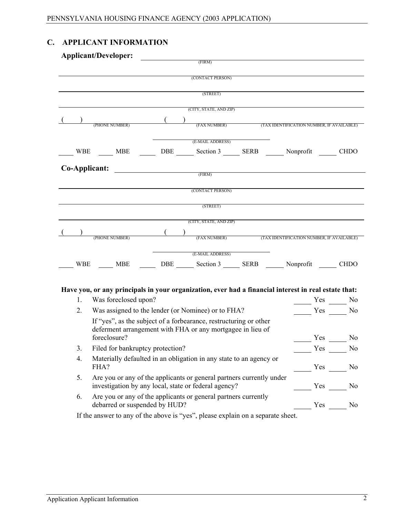# **C. APPLICANT INFORMATION**

|     | <b>Applicant/Developer:</b>                                                                                                  | (FIRM)                                                       |                                           |     |                |
|-----|------------------------------------------------------------------------------------------------------------------------------|--------------------------------------------------------------|-------------------------------------------|-----|----------------|
|     |                                                                                                                              |                                                              |                                           |     |                |
|     |                                                                                                                              | (CONTACT PERSON)                                             |                                           |     |                |
|     |                                                                                                                              | (STREET)                                                     |                                           |     |                |
|     |                                                                                                                              | (CITY, STATE, AND ZIP)                                       |                                           |     |                |
|     |                                                                                                                              | (FAX NUMBER) (TAX IDENTIFICATION NUMBER, IF AVAILABLE)       |                                           |     |                |
|     | (PHONE NUMBER)                                                                                                               |                                                              |                                           |     |                |
|     |                                                                                                                              | (E-MAIL ADDRESS)                                             |                                           |     |                |
|     | WBE ____ MBE _____ DBE ____ Section 3 ____ SERB _____ Nonprofit ____                                                         |                                                              |                                           |     | <b>CHDO</b>    |
|     | Co-Applicant:                                                                                                                | $\rm (FIRM)$                                                 |                                           |     |                |
|     |                                                                                                                              |                                                              |                                           |     |                |
|     |                                                                                                                              | (CONTACT PERSON)                                             |                                           |     |                |
|     |                                                                                                                              | (STREET)                                                     |                                           |     |                |
|     |                                                                                                                              |                                                              |                                           |     |                |
|     |                                                                                                                              | (CITY, STATE, AND ZIP)                                       |                                           |     |                |
|     | (PHONE NUMBER)                                                                                                               | (FAX NUMBER)                                                 | (TAX IDENTIFICATION NUMBER, IF AVAILABLE) |     |                |
|     |                                                                                                                              | (E-MAIL ADDRESS)                                             |                                           |     |                |
| WBE | <b>MBE</b>                                                                                                                   | DBE ________ Section 3 _______ SERB _______ Nonprofit ______ |                                           |     | <b>CHDO</b>    |
|     |                                                                                                                              |                                                              |                                           |     |                |
|     |                                                                                                                              |                                                              |                                           |     |                |
| 1.  | Have you, or any principals in your organization, ever had a financial interest in real estate that:<br>Was foreclosed upon? |                                                              |                                           |     | Yes No         |
| 2.  | Was assigned to the lender (or Nominee) or to FHA?                                                                           |                                                              |                                           |     | Yes No         |
|     | If "yes", as the subject of a forbearance, restructuring or other                                                            |                                                              |                                           |     |                |
|     | deferment arrangement with FHA or any mortgagee in lieu of                                                                   |                                                              |                                           |     |                |
|     | foreclosure?                                                                                                                 |                                                              |                                           | Yes | N <sub>0</sub> |
| 3.  | Filed for bankruptcy protection?                                                                                             |                                                              |                                           |     | $Yes \_\_ No$  |
| 4.  | Materially defaulted in an obligation in any state to an agency or<br>FHA?                                                   |                                                              |                                           | Yes | N <sub>0</sub> |
| 5.  | Are you or any of the applicants or general partners currently under<br>investigation by any local, state or federal agency? |                                                              |                                           | Yes | N <sub>0</sub> |
| 6.  | Are you or any of the applicants or general partners currently<br>debarred or suspended by HUD?                              |                                                              |                                           | Yes | N <sub>0</sub> |
|     | If the answer to any of the above is "yes", please explain on a separate sheet.                                              |                                                              |                                           |     |                |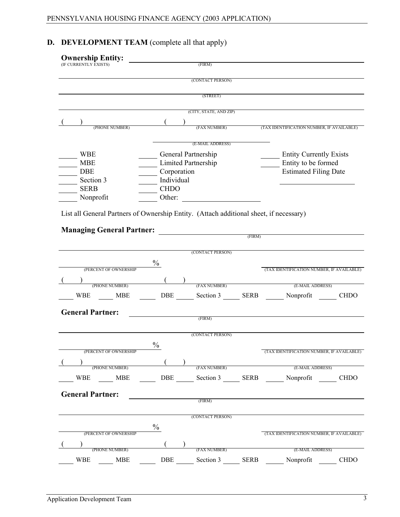# **D. DEVELOPMENT TEAM** (complete all that apply)

| (CONTACT PERSON)<br>(STREET)<br>(CITY, STATE, AND ZIP)<br>(FAX NUMBER)<br>(TAX IDENTIFICATION NUMBER, IF AVAILABLE)<br>(PHONE NUMBER)<br>(E-MAIL ADDRESS)<br>General Partnership<br><b>WBE</b><br><b>Entity Currently Exists</b><br>Entity to be formed<br>Limited Partnership<br><b>MBE</b><br>Corporation<br><b>Estimated Filing Date</b><br><b>DBE</b><br>Individual<br>Section 3<br><b>SERB</b><br><b>CHDO</b><br>Nonprofit<br>Other:<br>List all General Partners of Ownership Entity. (Attach additional sheet, if necessary)<br><b>Managing General Partner:</b><br>(FIRM)<br>(CONTACT PERSON)<br>$\frac{0}{0}$<br>(PERCENT OF OWNERSHIP<br>(PHONE NUMBER)<br>(E-MAIL ADDRESS)<br>(FAX NUMBER)<br>DBE Section 3 SERB Nonprofit<br>WBE<br>MBE<br><b>CHDO</b><br><b>General Partner:</b><br>(FIRM)<br>(CONTACT PERSON)<br>$\frac{0}{0}$<br>(PERCENT OF OWNERSHIP<br>(TAX IDENTIFICATION NUMBER, IF AVAILABLE)<br>(PHONE NUMBER)<br>(E-MAIL ADDRESS)<br>(FAX NUMBER)<br>WBE MBE DBE Section 3 SERB Nonprofit CHDO<br><b>General Partner:</b><br><u>and the company of the company of the company of the company of the company of the company of the company of the company of the company of the company of the company of the company of the company of the company of the com</u><br>(FIRM)<br>(CONTACT PERSON)<br>$\frac{0}{0}$<br>(PERCENT OF OWNERSHIP<br>(TAX IDENTIFICATION NUMBER, IF AVAILABLE)<br>(PHONE NUMBER)<br>(FAX NUMBER)<br>(E-MAIL ADDRESS)<br><b>DBE</b><br>Section 3 SERB<br>Nonprofit<br>WBE<br><b>CHDO</b><br><b>MBE</b> | <b>Ownership Entity:</b><br>(IF CURRENTLY EXISTS) | (FIRM) |                                           |
|------------------------------------------------------------------------------------------------------------------------------------------------------------------------------------------------------------------------------------------------------------------------------------------------------------------------------------------------------------------------------------------------------------------------------------------------------------------------------------------------------------------------------------------------------------------------------------------------------------------------------------------------------------------------------------------------------------------------------------------------------------------------------------------------------------------------------------------------------------------------------------------------------------------------------------------------------------------------------------------------------------------------------------------------------------------------------------------------------------------------------------------------------------------------------------------------------------------------------------------------------------------------------------------------------------------------------------------------------------------------------------------------------------------------------------------------------------------------------------------------------------------------------------------------------|---------------------------------------------------|--------|-------------------------------------------|
|                                                                                                                                                                                                                                                                                                                                                                                                                                                                                                                                                                                                                                                                                                                                                                                                                                                                                                                                                                                                                                                                                                                                                                                                                                                                                                                                                                                                                                                                                                                                                      |                                                   |        |                                           |
|                                                                                                                                                                                                                                                                                                                                                                                                                                                                                                                                                                                                                                                                                                                                                                                                                                                                                                                                                                                                                                                                                                                                                                                                                                                                                                                                                                                                                                                                                                                                                      |                                                   |        |                                           |
|                                                                                                                                                                                                                                                                                                                                                                                                                                                                                                                                                                                                                                                                                                                                                                                                                                                                                                                                                                                                                                                                                                                                                                                                                                                                                                                                                                                                                                                                                                                                                      |                                                   |        |                                           |
|                                                                                                                                                                                                                                                                                                                                                                                                                                                                                                                                                                                                                                                                                                                                                                                                                                                                                                                                                                                                                                                                                                                                                                                                                                                                                                                                                                                                                                                                                                                                                      |                                                   |        |                                           |
|                                                                                                                                                                                                                                                                                                                                                                                                                                                                                                                                                                                                                                                                                                                                                                                                                                                                                                                                                                                                                                                                                                                                                                                                                                                                                                                                                                                                                                                                                                                                                      |                                                   |        |                                           |
|                                                                                                                                                                                                                                                                                                                                                                                                                                                                                                                                                                                                                                                                                                                                                                                                                                                                                                                                                                                                                                                                                                                                                                                                                                                                                                                                                                                                                                                                                                                                                      |                                                   |        |                                           |
|                                                                                                                                                                                                                                                                                                                                                                                                                                                                                                                                                                                                                                                                                                                                                                                                                                                                                                                                                                                                                                                                                                                                                                                                                                                                                                                                                                                                                                                                                                                                                      |                                                   |        |                                           |
|                                                                                                                                                                                                                                                                                                                                                                                                                                                                                                                                                                                                                                                                                                                                                                                                                                                                                                                                                                                                                                                                                                                                                                                                                                                                                                                                                                                                                                                                                                                                                      |                                                   |        |                                           |
|                                                                                                                                                                                                                                                                                                                                                                                                                                                                                                                                                                                                                                                                                                                                                                                                                                                                                                                                                                                                                                                                                                                                                                                                                                                                                                                                                                                                                                                                                                                                                      |                                                   |        |                                           |
|                                                                                                                                                                                                                                                                                                                                                                                                                                                                                                                                                                                                                                                                                                                                                                                                                                                                                                                                                                                                                                                                                                                                                                                                                                                                                                                                                                                                                                                                                                                                                      |                                                   |        |                                           |
|                                                                                                                                                                                                                                                                                                                                                                                                                                                                                                                                                                                                                                                                                                                                                                                                                                                                                                                                                                                                                                                                                                                                                                                                                                                                                                                                                                                                                                                                                                                                                      |                                                   |        |                                           |
|                                                                                                                                                                                                                                                                                                                                                                                                                                                                                                                                                                                                                                                                                                                                                                                                                                                                                                                                                                                                                                                                                                                                                                                                                                                                                                                                                                                                                                                                                                                                                      |                                                   |        |                                           |
|                                                                                                                                                                                                                                                                                                                                                                                                                                                                                                                                                                                                                                                                                                                                                                                                                                                                                                                                                                                                                                                                                                                                                                                                                                                                                                                                                                                                                                                                                                                                                      |                                                   |        |                                           |
|                                                                                                                                                                                                                                                                                                                                                                                                                                                                                                                                                                                                                                                                                                                                                                                                                                                                                                                                                                                                                                                                                                                                                                                                                                                                                                                                                                                                                                                                                                                                                      |                                                   |        |                                           |
|                                                                                                                                                                                                                                                                                                                                                                                                                                                                                                                                                                                                                                                                                                                                                                                                                                                                                                                                                                                                                                                                                                                                                                                                                                                                                                                                                                                                                                                                                                                                                      |                                                   |        |                                           |
|                                                                                                                                                                                                                                                                                                                                                                                                                                                                                                                                                                                                                                                                                                                                                                                                                                                                                                                                                                                                                                                                                                                                                                                                                                                                                                                                                                                                                                                                                                                                                      |                                                   |        |                                           |
|                                                                                                                                                                                                                                                                                                                                                                                                                                                                                                                                                                                                                                                                                                                                                                                                                                                                                                                                                                                                                                                                                                                                                                                                                                                                                                                                                                                                                                                                                                                                                      |                                                   |        |                                           |
|                                                                                                                                                                                                                                                                                                                                                                                                                                                                                                                                                                                                                                                                                                                                                                                                                                                                                                                                                                                                                                                                                                                                                                                                                                                                                                                                                                                                                                                                                                                                                      |                                                   |        |                                           |
|                                                                                                                                                                                                                                                                                                                                                                                                                                                                                                                                                                                                                                                                                                                                                                                                                                                                                                                                                                                                                                                                                                                                                                                                                                                                                                                                                                                                                                                                                                                                                      |                                                   |        |                                           |
|                                                                                                                                                                                                                                                                                                                                                                                                                                                                                                                                                                                                                                                                                                                                                                                                                                                                                                                                                                                                                                                                                                                                                                                                                                                                                                                                                                                                                                                                                                                                                      |                                                   |        |                                           |
|                                                                                                                                                                                                                                                                                                                                                                                                                                                                                                                                                                                                                                                                                                                                                                                                                                                                                                                                                                                                                                                                                                                                                                                                                                                                                                                                                                                                                                                                                                                                                      |                                                   |        |                                           |
|                                                                                                                                                                                                                                                                                                                                                                                                                                                                                                                                                                                                                                                                                                                                                                                                                                                                                                                                                                                                                                                                                                                                                                                                                                                                                                                                                                                                                                                                                                                                                      |                                                   |        | (TAX IDENTIFICATION NUMBER, IF AVAILABLE) |
|                                                                                                                                                                                                                                                                                                                                                                                                                                                                                                                                                                                                                                                                                                                                                                                                                                                                                                                                                                                                                                                                                                                                                                                                                                                                                                                                                                                                                                                                                                                                                      |                                                   |        |                                           |
|                                                                                                                                                                                                                                                                                                                                                                                                                                                                                                                                                                                                                                                                                                                                                                                                                                                                                                                                                                                                                                                                                                                                                                                                                                                                                                                                                                                                                                                                                                                                                      |                                                   |        |                                           |
|                                                                                                                                                                                                                                                                                                                                                                                                                                                                                                                                                                                                                                                                                                                                                                                                                                                                                                                                                                                                                                                                                                                                                                                                                                                                                                                                                                                                                                                                                                                                                      |                                                   |        |                                           |
|                                                                                                                                                                                                                                                                                                                                                                                                                                                                                                                                                                                                                                                                                                                                                                                                                                                                                                                                                                                                                                                                                                                                                                                                                                                                                                                                                                                                                                                                                                                                                      |                                                   |        |                                           |
|                                                                                                                                                                                                                                                                                                                                                                                                                                                                                                                                                                                                                                                                                                                                                                                                                                                                                                                                                                                                                                                                                                                                                                                                                                                                                                                                                                                                                                                                                                                                                      |                                                   |        |                                           |
|                                                                                                                                                                                                                                                                                                                                                                                                                                                                                                                                                                                                                                                                                                                                                                                                                                                                                                                                                                                                                                                                                                                                                                                                                                                                                                                                                                                                                                                                                                                                                      |                                                   |        |                                           |
|                                                                                                                                                                                                                                                                                                                                                                                                                                                                                                                                                                                                                                                                                                                                                                                                                                                                                                                                                                                                                                                                                                                                                                                                                                                                                                                                                                                                                                                                                                                                                      |                                                   |        |                                           |
|                                                                                                                                                                                                                                                                                                                                                                                                                                                                                                                                                                                                                                                                                                                                                                                                                                                                                                                                                                                                                                                                                                                                                                                                                                                                                                                                                                                                                                                                                                                                                      |                                                   |        |                                           |
|                                                                                                                                                                                                                                                                                                                                                                                                                                                                                                                                                                                                                                                                                                                                                                                                                                                                                                                                                                                                                                                                                                                                                                                                                                                                                                                                                                                                                                                                                                                                                      |                                                   |        |                                           |
|                                                                                                                                                                                                                                                                                                                                                                                                                                                                                                                                                                                                                                                                                                                                                                                                                                                                                                                                                                                                                                                                                                                                                                                                                                                                                                                                                                                                                                                                                                                                                      |                                                   |        |                                           |
|                                                                                                                                                                                                                                                                                                                                                                                                                                                                                                                                                                                                                                                                                                                                                                                                                                                                                                                                                                                                                                                                                                                                                                                                                                                                                                                                                                                                                                                                                                                                                      |                                                   |        |                                           |
|                                                                                                                                                                                                                                                                                                                                                                                                                                                                                                                                                                                                                                                                                                                                                                                                                                                                                                                                                                                                                                                                                                                                                                                                                                                                                                                                                                                                                                                                                                                                                      |                                                   |        |                                           |
|                                                                                                                                                                                                                                                                                                                                                                                                                                                                                                                                                                                                                                                                                                                                                                                                                                                                                                                                                                                                                                                                                                                                                                                                                                                                                                                                                                                                                                                                                                                                                      |                                                   |        |                                           |
|                                                                                                                                                                                                                                                                                                                                                                                                                                                                                                                                                                                                                                                                                                                                                                                                                                                                                                                                                                                                                                                                                                                                                                                                                                                                                                                                                                                                                                                                                                                                                      |                                                   |        |                                           |
|                                                                                                                                                                                                                                                                                                                                                                                                                                                                                                                                                                                                                                                                                                                                                                                                                                                                                                                                                                                                                                                                                                                                                                                                                                                                                                                                                                                                                                                                                                                                                      |                                                   |        |                                           |
|                                                                                                                                                                                                                                                                                                                                                                                                                                                                                                                                                                                                                                                                                                                                                                                                                                                                                                                                                                                                                                                                                                                                                                                                                                                                                                                                                                                                                                                                                                                                                      |                                                   |        |                                           |
|                                                                                                                                                                                                                                                                                                                                                                                                                                                                                                                                                                                                                                                                                                                                                                                                                                                                                                                                                                                                                                                                                                                                                                                                                                                                                                                                                                                                                                                                                                                                                      |                                                   |        |                                           |
|                                                                                                                                                                                                                                                                                                                                                                                                                                                                                                                                                                                                                                                                                                                                                                                                                                                                                                                                                                                                                                                                                                                                                                                                                                                                                                                                                                                                                                                                                                                                                      |                                                   |        |                                           |
|                                                                                                                                                                                                                                                                                                                                                                                                                                                                                                                                                                                                                                                                                                                                                                                                                                                                                                                                                                                                                                                                                                                                                                                                                                                                                                                                                                                                                                                                                                                                                      |                                                   |        |                                           |
|                                                                                                                                                                                                                                                                                                                                                                                                                                                                                                                                                                                                                                                                                                                                                                                                                                                                                                                                                                                                                                                                                                                                                                                                                                                                                                                                                                                                                                                                                                                                                      |                                                   |        |                                           |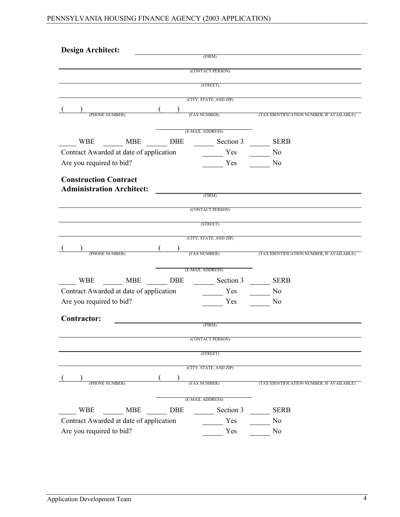| <b>Design Architect:</b>                                         |            |                        |                                           |
|------------------------------------------------------------------|------------|------------------------|-------------------------------------------|
|                                                                  |            | (FIRM)                 |                                           |
|                                                                  |            | (CONTACT PERSON)       |                                           |
|                                                                  |            | (STREET)               |                                           |
|                                                                  |            | (CITY, STATE, AND ZIP) |                                           |
|                                                                  |            | (FAX NUMBER)           |                                           |
| (PHONE NUMBER)                                                   |            |                        | (TAX IDENTIFICATION NUMBER, IF AVAILABLE) |
|                                                                  |            | (E-MAIL ADDRESS)       |                                           |
| <b>WBE</b><br><b>MBE</b>                                         | <b>DBE</b> | Section 3              | <b>SERB</b>                               |
| Contract Awarded at date of application                          |            | Yes                    | N <sub>0</sub>                            |
| Are you required to bid?                                         |            | Yes                    | N <sub>0</sub>                            |
|                                                                  |            |                        |                                           |
| <b>Construction Contract</b><br><b>Administration Architect:</b> |            |                        |                                           |
|                                                                  |            | (FIRM)                 |                                           |
|                                                                  |            | (CONTACT PERSON)       |                                           |
|                                                                  |            |                        |                                           |
|                                                                  |            | (STREET)               |                                           |
|                                                                  |            | (CITY, STATE, AND ZIP) |                                           |
| (PHONE NUMBER)                                                   |            | (FAX NUMBER)           | (TAX IDENTIFICATION NUMBER, IF AVAILABLE) |
|                                                                  |            |                        |                                           |
|                                                                  |            | (E-MAIL ADDRESS)       |                                           |
| <b>WBE</b><br><b>MBE</b>                                         | <b>DBE</b> | Section 3              | <b>SERB</b>                               |
| Contract Awarded at date of application                          |            | Yes                    | No                                        |
| Are you required to bid?                                         |            | Yes                    | No                                        |
| Contractor:                                                      |            |                        |                                           |
|                                                                  |            | (FIRM)                 |                                           |
|                                                                  |            | (CONTACT PERSON)       |                                           |
|                                                                  |            | (STREET)               |                                           |
|                                                                  |            |                        |                                           |
|                                                                  |            | (CITY, STATE, AND ZIP) |                                           |
| (PHONE NUMBER)                                                   |            | (FAX NUMBER)           | (TAX IDENTIFICATION NUMBER, IF AVAILABLE) |
|                                                                  |            |                        |                                           |
|                                                                  |            | (E-MAIL ADDRESS)       |                                           |
| <b>WBE</b><br><b>MBE</b>                                         | <b>DBE</b> | Section 3              | <b>SERB</b>                               |
| Contract Awarded at date of application                          |            | Yes                    | N <sub>0</sub>                            |
| Are you required to bid?                                         |            | Yes                    | N <sub>0</sub>                            |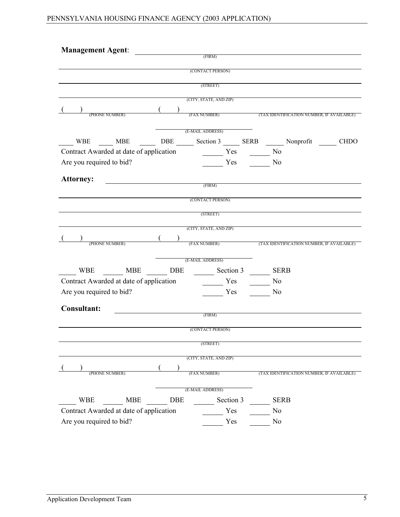| Management Agent: 1999 Management Agent: |                                                      |                        |                                                                           |
|------------------------------------------|------------------------------------------------------|------------------------|---------------------------------------------------------------------------|
|                                          |                                                      | (FIRM)                 |                                                                           |
|                                          |                                                      | (CONTACT PERSON)       |                                                                           |
|                                          |                                                      | (STREET)               |                                                                           |
|                                          |                                                      | (CITY, STATE, AND ZIP) |                                                                           |
|                                          |                                                      |                        |                                                                           |
| (PHONE NUMBER)                           |                                                      |                        | (FAX NUMBER) (TAX IDENTIFICATION NUMBER, IF AVAILABLE)                    |
|                                          |                                                      | (E-MAIL ADDRESS)       |                                                                           |
|                                          |                                                      |                        | WBE ____ MBE _____ DBE ____ Section 3 ____ SERB ____ Nonprofit _____ CHDO |
| Contract Awarded at date of application  |                                                      | Yes No                 |                                                                           |
| Are you required to bid?                 |                                                      | Yes                    | N <sub>0</sub>                                                            |
|                                          |                                                      |                        |                                                                           |
| <b>Attorney:</b>                         | $\begin{array}{c} \hline \textbf{FIRM)} \end{array}$ |                        |                                                                           |
|                                          |                                                      | (CONTACT PERSON)       |                                                                           |
|                                          |                                                      |                        |                                                                           |
|                                          |                                                      | (STREET)               |                                                                           |
|                                          |                                                      | (CITY, STATE, AND ZIP) |                                                                           |
| (PHONE NUMBER)                           |                                                      |                        | (FAX NUMBER) (TAX IDENTIFICATION NUMBER, IF AVAILABLE)                    |
|                                          |                                                      |                        |                                                                           |
|                                          |                                                      | (E-MAIL ADDRESS)       |                                                                           |
| WBE MBE DBE                              |                                                      | Section 3 SERB         |                                                                           |
| Contract Awarded at date of application  |                                                      | Yes                    | No.                                                                       |
| Are you required to bid?                 |                                                      | Yes                    | N <sub>0</sub>                                                            |
| <b>Consultant:</b>                       |                                                      |                        |                                                                           |
|                                          |                                                      | (FIRM)                 |                                                                           |
|                                          |                                                      | (CONTACT PERSON)       |                                                                           |
|                                          |                                                      | (STREET)               |                                                                           |
|                                          |                                                      |                        |                                                                           |
|                                          |                                                      | (CITY, STATE, AND ZIP) |                                                                           |
| (PHONE NUMBER)                           |                                                      |                        | (FAX NUMBER) (TAX IDENTIFICATION NUMBER, IF AVAILABLE)                    |
|                                          |                                                      |                        |                                                                           |
|                                          |                                                      | (E-MAIL ADDRESS)       |                                                                           |
| WBE MBE DBE                              |                                                      | Section 3              | <b>SERB</b>                                                               |
| Contract Awarded at date of application  |                                                      | Yes                    | N <sub>0</sub>                                                            |
| Are you required to bid?                 |                                                      | Yes                    | N <sub>0</sub>                                                            |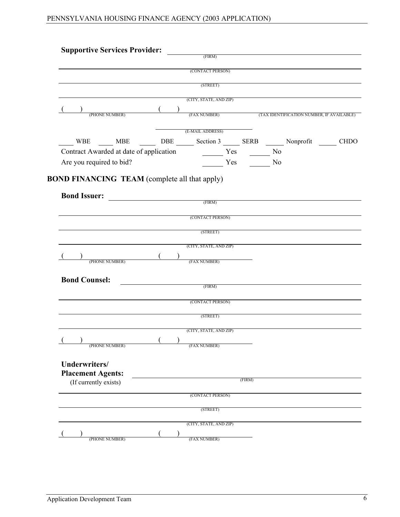| <b>Supportive Services Provider:</b>                               |  | (FIRM)                                                 |        |  |  |
|--------------------------------------------------------------------|--|--------------------------------------------------------|--------|--|--|
|                                                                    |  | (CONTACT PERSON)                                       |        |  |  |
|                                                                    |  | (STREET)                                               |        |  |  |
|                                                                    |  |                                                        |        |  |  |
|                                                                    |  | (CITY, STATE, AND ZIP)                                 |        |  |  |
| $(PHONE NUMBER)$ $($                                               |  | (FAX NUMBER) (TAX IDENTIFICATION NUMBER, IF AVAILABLE) |        |  |  |
|                                                                    |  |                                                        |        |  |  |
|                                                                    |  | (E-MAIL ADDRESS)                                       |        |  |  |
| WBE ___ MBE ___ DBE ___ Section 3 ___ SERB ___ Nonprofit ____ CHDO |  |                                                        |        |  |  |
| Contract Awarded at date of application Mess No No                 |  |                                                        |        |  |  |
| Are you required to bid?                                           |  | Yes No                                                 |        |  |  |
| <b>Bond Issuer:</b> <u>CERM</u>                                    |  |                                                        |        |  |  |
|                                                                    |  | (CONTACT PERSON)                                       |        |  |  |
|                                                                    |  |                                                        |        |  |  |
|                                                                    |  | (STREET)                                               |        |  |  |
|                                                                    |  | (CITY, STATE, AND ZIP)                                 |        |  |  |
| (PHONE NUMBER)                                                     |  | (FAX NUMBER)                                           |        |  |  |
|                                                                    |  |                                                        |        |  |  |
| <b>Bond Counsel:</b>                                               |  |                                                        |        |  |  |
|                                                                    |  | (FIRM)                                                 |        |  |  |
|                                                                    |  |                                                        |        |  |  |
|                                                                    |  | (CONTACT PERSON)                                       |        |  |  |
|                                                                    |  |                                                        |        |  |  |
|                                                                    |  | (STREET)                                               |        |  |  |
|                                                                    |  | (CITY, STATE, AND ZIP)                                 |        |  |  |
| (PHONE NUMBER)                                                     |  | (FAX NUMBER)                                           |        |  |  |
|                                                                    |  |                                                        |        |  |  |
|                                                                    |  |                                                        |        |  |  |
|                                                                    |  |                                                        |        |  |  |
| (If currently exists)                                              |  |                                                        | (FIRM) |  |  |
|                                                                    |  | (CONTACT PERSON)                                       |        |  |  |
| Underwriters/<br><b>Placement Agents:</b>                          |  | (STREET)                                               |        |  |  |
|                                                                    |  | (CITY, STATE, AND ZIP)                                 |        |  |  |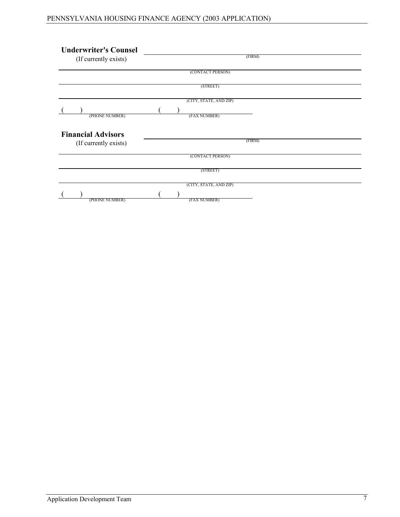| <b>Underwriter's Counsel</b><br>(If currently exists) | (FIRM)                 |
|-------------------------------------------------------|------------------------|
|                                                       |                        |
|                                                       | (CONTACT PERSON)       |
|                                                       | (STREET)               |
|                                                       | (CITY, STATE, AND ZIP) |
|                                                       |                        |
| (PHONE NUMBER)                                        | (FAX NUMBER)           |
| <b>Financial Advisors</b><br>(If currently exists)    | (FIRM)                 |
|                                                       |                        |
|                                                       | (CONTACT PERSON)       |
|                                                       |                        |
|                                                       | (STREET)               |
|                                                       | (CITY, STATE, AND ZIP) |
|                                                       |                        |
| (PHONE NUMBER)                                        | (FAX NUMBER)           |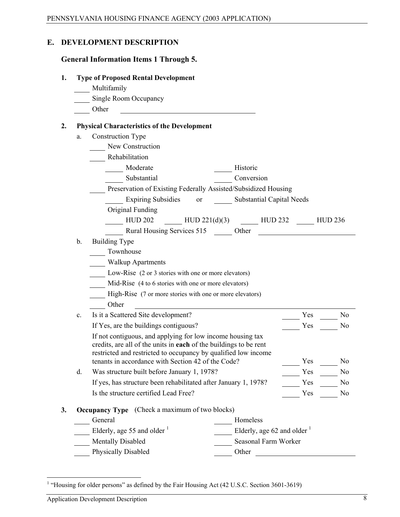#### **E. DEVELOPMENT DESCRIPTION**

#### **General Information Items 1 Through 5.**

| 1. |  |  |  | <b>Type of Proposed Rental Development</b> |
|----|--|--|--|--------------------------------------------|
|----|--|--|--|--------------------------------------------|

| Multifamily |  |
|-------------|--|
|             |  |

- Single Room Occupancy
- Other

#### **2. Physical Characteristics of the Development**

a. Construction Type

| Rehabilitation |
|----------------|
|                |

| Moderate       | Historic        |
|----------------|-----------------|
| $Cv$ batantial | $\Gamma$ onvora |

| Substantial                                                    | Conversion |
|----------------------------------------------------------------|------------|
| Preservation of Existing Federally Assisted/Subsidized Housing |            |
|                                                                |            |

Expiring Subsidies or Substantial Capital Needs

Original Funding

- HUD 202 **HUD** 221(d)(3) **HUD** 232 **HUD** 236 Rural Housing Services 515 Other
	- b. Building Type
		- Townhouse
		- Walkup Apartments
		- Low-Rise (2 or 3 stories with one or more elevators)
		- Mid-Rise (4 to 6 stories with one or more elevators)
		- High-Rise (7 or more stories with one or more elevators) Other
	- c. Is it a Scattered Site development? The Yes No If Yes, are the buildings contiguous? Yes No If not contiguous, and applying for low income housing tax

credits, are all of the units in **each** of the buildings to be rent restricted and restricted to occupancy by qualified low income tenants in accordance with Section 42 of the Code? Yes No

d. Was structure built before January 1, 1978? Yes No If yes, has structure been rehabilitated after January 1, 1978? Yes No Is the structure certified Lead Free? Yes No

#### **3. Occupancy Type** (Check a maximum of two blocks)

| General                                 | <b>Homeless</b>                         |
|-----------------------------------------|-----------------------------------------|
| Elderly, age 55 and older $\frac{1}{1}$ | Elderly, age 62 and older $\frac{1}{1}$ |
| <b>Mentally Disabled</b>                | Seasonal Farm Worker                    |
| <b>Physically Disabled</b>              | Other                                   |
|                                         |                                         |

<span id="page-9-0"></span> $\overline{a}$ <sup>1</sup> "Housing for older persons" as defined by the Fair Housing Act (42 U.S.C. Section 3601-3619)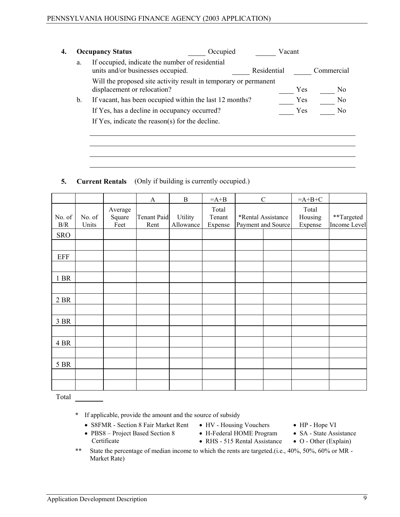|    | <b>Occupancy Status</b>                                                                         | Occupied | Vacant      |     |                |
|----|-------------------------------------------------------------------------------------------------|----------|-------------|-----|----------------|
| a. | If occupied, indicate the number of residential<br>units and/or businesses occupied.            |          | Residential |     | Commercial     |
|    | Will the proposed site activity result in temporary or permanent<br>displacement or relocation? |          |             | Yes | N <sub>0</sub> |
| b. | If vacant, has been occupied within the last 12 months?                                         |          |             | Yes | N <sub>0</sub> |
|    | If Yes, has a decline in occupancy occurred?                                                    |          |             | Yes | N <sub>0</sub> |
|    | If Yes, indicate the reason(s) for the decline.                                                 |          |             |     |                |
|    |                                                                                                 |          |             |     |                |
|    |                                                                                                 |          |             |     |                |

#### **5. Current Rentals** (Only if building is currently occupied.)

|                      |                 |                           | A                          | $\bf{B}$             | $=A+B$                     | $\mathsf C$                              | $=A+B+C$                    |                            |
|----------------------|-----------------|---------------------------|----------------------------|----------------------|----------------------------|------------------------------------------|-----------------------------|----------------------------|
| No. of<br>$\rm\,B/R$ | No. of<br>Units | Average<br>Square<br>Feet | <b>Tenant Paid</b><br>Rent | Utility<br>Allowance | Total<br>Tenant<br>Expense | *Rental Assistance<br>Payment and Source | Total<br>Housing<br>Expense | **Targeted<br>Income Level |
| <b>SRO</b>           |                 |                           |                            |                      |                            |                                          |                             |                            |
|                      |                 |                           |                            |                      |                            |                                          |                             |                            |
| <b>EFF</b>           |                 |                           |                            |                      |                            |                                          |                             |                            |
|                      |                 |                           |                            |                      |                            |                                          |                             |                            |
| 1 BR                 |                 |                           |                            |                      |                            |                                          |                             |                            |
|                      |                 |                           |                            |                      |                            |                                          |                             |                            |
| 2 BR                 |                 |                           |                            |                      |                            |                                          |                             |                            |
|                      |                 |                           |                            |                      |                            |                                          |                             |                            |
| 3 BR                 |                 |                           |                            |                      |                            |                                          |                             |                            |
|                      |                 |                           |                            |                      |                            |                                          |                             |                            |
| 4 BR                 |                 |                           |                            |                      |                            |                                          |                             |                            |
|                      |                 |                           |                            |                      |                            |                                          |                             |                            |
| 5 BR                 |                 |                           |                            |                      |                            |                                          |                             |                            |
|                      |                 |                           |                            |                      |                            |                                          |                             |                            |
|                      |                 |                           |                            |                      |                            |                                          |                             |                            |

Total

\* If applicable, provide the amount and the source of subsidy

- S8FMR Section 8 Fair Market Rent
- PBS8 Project Based Section 8 Certificate
- HV Housing Vouchers • H-Federal HOME Program

• RHS - 515 Rental Assistance

- HP Hope VI
- SA State Assistance
- O Other (Explain)
- \*\* State the percentage of median income to which the rents are targeted.(i.e., 40%, 50%, 60% or MR Market Rate)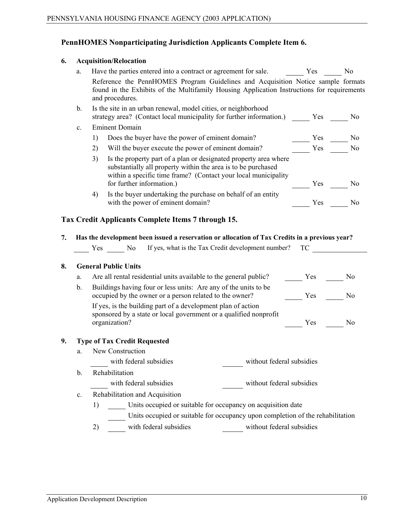# **PennHOMES Nonparticipating Jurisdiction Applicants Complete Item 6.**

#### **6. Acquisition/Relocation**

|    | a.            | Have the parties entered into a contract or agreement for sale. Yes No                                                                                                                                                                 |                                                                                                                                                                                                                                |                |
|----|---------------|----------------------------------------------------------------------------------------------------------------------------------------------------------------------------------------------------------------------------------------|--------------------------------------------------------------------------------------------------------------------------------------------------------------------------------------------------------------------------------|----------------|
|    |               | Reference the PennHOMES Program Guidelines and Acquisition Notice sample formats<br>found in the Exhibits of the Multifamily Housing Application Instructions for requirements<br>and procedures.                                      |                                                                                                                                                                                                                                |                |
|    | $\mathbf b$ . | Is the site in an urban renewal, model cities, or neighborhood<br>strategy area? (Contact local municipality for further information.) Yes No                                                                                          |                                                                                                                                                                                                                                |                |
|    | c.            | <b>Eminent Domain</b>                                                                                                                                                                                                                  |                                                                                                                                                                                                                                |                |
|    |               | Does the buyer have the power of eminent domain?<br>1)                                                                                                                                                                                 | $\frac{1}{\sqrt{1-\frac{1}{c}}}$ Yes $\frac{1}{\sqrt{1-\frac{1}{c}}}$ No                                                                                                                                                       |                |
|    |               | 2)<br>Will the buyer execute the power of eminent domain?                                                                                                                                                                              | Yes                                                                                                                                                                                                                            | N <sub>0</sub> |
|    |               | 3)<br>Is the property part of a plan or designated property area where<br>substantially all property within the area is to be purchased<br>within a specific time frame? (Contact your local municipality<br>for further information.) | $\frac{\ }{\ }$ Yes $\frac{\ }{\ }$ No                                                                                                                                                                                         |                |
|    |               | Is the buyer undertaking the purchase on behalf of an entity<br>4)<br>with the power of eminent domain?                                                                                                                                | Yes No                                                                                                                                                                                                                         |                |
| 7. |               | Tax Credit Applicants Complete Items 7 through 15.<br>Has the development been issued a reservation or allocation of Tax Credits in a previous year?                                                                                   |                                                                                                                                                                                                                                |                |
|    |               | Yes No If yes, what is the Tax Credit development number?                                                                                                                                                                              | TC and the state of the state of the state of the state of the state of the state of the state of the state of the state of the state of the state of the state of the state of the state of the state of the state of the sta |                |
| 8. |               | <b>General Public Units</b>                                                                                                                                                                                                            |                                                                                                                                                                                                                                |                |
|    | a.            | Are all rental residential units available to the general public?                                                                                                                                                                      | Yes                                                                                                                                                                                                                            | N <sub>0</sub> |
|    | $\mathbf b$ . | Buildings having four or less units: Are any of the units to be<br>occupied by the owner or a person related to the owner?                                                                                                             | Yes <u>In the New Yes</u>                                                                                                                                                                                                      | N <sub>0</sub> |
|    |               | If yes, is the building part of a development plan of action<br>sponsored by a state or local government or a qualified nonprofit                                                                                                      |                                                                                                                                                                                                                                |                |
|    |               | organization?                                                                                                                                                                                                                          | Yes                                                                                                                                                                                                                            | N <sub>0</sub> |
| 9. |               | <b>Type of Tax Credit Requested</b>                                                                                                                                                                                                    |                                                                                                                                                                                                                                |                |
|    | a.            | New Construction                                                                                                                                                                                                                       |                                                                                                                                                                                                                                |                |
|    |               | with federal subsidies<br>without federal subsidies                                                                                                                                                                                    |                                                                                                                                                                                                                                |                |
|    | b.            | Rehabilitation                                                                                                                                                                                                                         |                                                                                                                                                                                                                                |                |
|    |               | with federal subsidies<br>without federal subsidies                                                                                                                                                                                    |                                                                                                                                                                                                                                |                |
|    | c.            | Rehabilitation and Acquisition                                                                                                                                                                                                         |                                                                                                                                                                                                                                |                |
|    |               | Units occupied or suitable for occupancy on acquisition date<br>1)                                                                                                                                                                     |                                                                                                                                                                                                                                |                |
|    |               | Units occupied or suitable for occupancy upon completion of the rehabilitation                                                                                                                                                         |                                                                                                                                                                                                                                |                |
|    |               | with federal subsidies<br>without federal subsidies<br>2)                                                                                                                                                                              |                                                                                                                                                                                                                                |                |
|    |               |                                                                                                                                                                                                                                        |                                                                                                                                                                                                                                |                |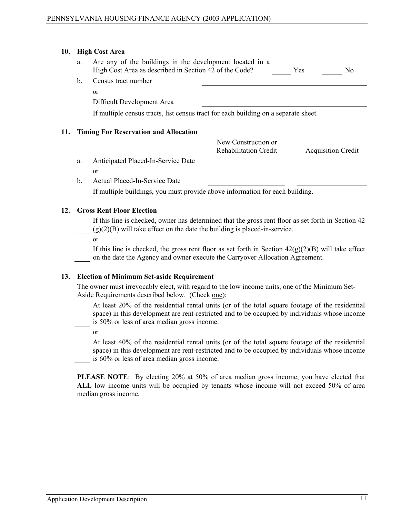#### **10. High Cost Area**

| a. | Are any of the buildings in the development located in a<br>High Cost Area as described in Section 42 of the Code? | Yes | No. |
|----|--------------------------------------------------------------------------------------------------------------------|-----|-----|
|    | b. Census tract number                                                                                             |     |     |

or

Difficult Development Area

If multiple census tracts, list census tract for each building on a separate sheet.

#### **11. Timing For Reservation and Allocation**

New Construction or Rehabilitation Credit Acquisition Credit

- a. Anticipated Placed-In-Service Date
	- or
- b. Actual Placed-In-Service Date

If multiple buildings, you must provide above information for each building.

#### **12. Gross Rent Floor Election**

If this line is checked, owner has determined that the gross rent floor as set forth in Section 42  $(g)(2)(B)$  will take effect on the date the building is placed-in-service.

or

If this line is checked, the gross rent floor as set forth in Section  $42(g)(2)(B)$  will take effect on the date the Agency and owner execute the Carryover Allocation Agreement.

#### **13. Election of Minimum Set-aside Requirement**

The owner must irrevocably elect, with regard to the low income units, one of the Minimum Set-Aside Requirements described below. (Check one):

At least 20% of the residential rental units (or of the total square footage of the residential space) in this development are rent-restricted and to be occupied by individuals whose income is 50% or less of area median gross income.

or

At least 40% of the residential rental units (or of the total square footage of the residential space) in this development are rent-restricted and to be occupied by individuals whose income is 60% or less of area median gross income.

**PLEASE NOTE**: By electing 20% at 50% of area median gross income, you have elected that **ALL** low income units will be occupied by tenants whose income will not exceed 50% of area median gross income.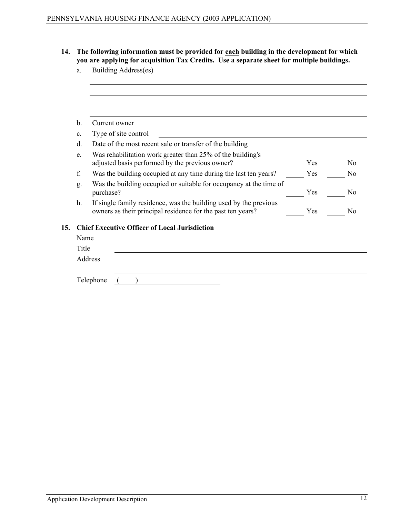- **14. The following information must be provided for each building in the development for which you are applying for acquisition Tax Credits. Use a separate sheet for multiple buildings.**
	- a. Building Address(es)

|     | $\mathbf b$ .  | Current owner                                                                                                                    |     |                |
|-----|----------------|----------------------------------------------------------------------------------------------------------------------------------|-----|----------------|
|     | $\mathbf{c}$ . | Type of site control                                                                                                             |     |                |
|     | $d$ .          | Date of the most recent sale or transfer of the building                                                                         |     |                |
|     | e.             | Was rehabilitation work greater than 25% of the building's<br>adjusted basis performed by the previous owner?                    | Yes | N <sub>0</sub> |
| f.  |                | Was the building occupied at any time during the last ten years?                                                                 | Yes | No             |
|     | g.             | Was the building occupied or suitable for occupancy at the time of<br>purchase?                                                  | Yes | N <sub>0</sub> |
|     | h.             | If single family residence, was the building used by the previous<br>owners as their principal residence for the past ten years? | Yes | No             |
| 15. |                | <b>Chief Executive Officer of Local Jurisdiction</b>                                                                             |     |                |
|     | Name           |                                                                                                                                  |     |                |
|     | Title          |                                                                                                                                  |     |                |
|     |                | Address                                                                                                                          |     |                |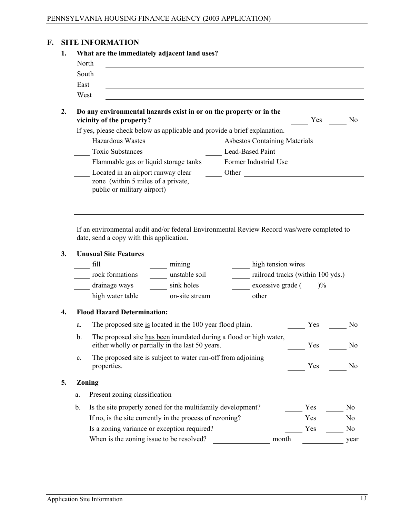# **F. SITE INFORMATION**

|    | North                                                                                                                                                                                            | What are the immediately adjacent land uses?                                                                                                                                                                                   |                                                                                                                      |                    |                                                                                                                                                                                                                                                                    |                                                                      |
|----|--------------------------------------------------------------------------------------------------------------------------------------------------------------------------------------------------|--------------------------------------------------------------------------------------------------------------------------------------------------------------------------------------------------------------------------------|----------------------------------------------------------------------------------------------------------------------|--------------------|--------------------------------------------------------------------------------------------------------------------------------------------------------------------------------------------------------------------------------------------------------------------|----------------------------------------------------------------------|
|    | South                                                                                                                                                                                            |                                                                                                                                                                                                                                |                                                                                                                      |                    |                                                                                                                                                                                                                                                                    |                                                                      |
|    | East<br>West                                                                                                                                                                                     | <u> 1989 - Johann Stoff, amerikansk politiker (d. 1989)</u>                                                                                                                                                                    |                                                                                                                      |                    |                                                                                                                                                                                                                                                                    |                                                                      |
|    | Do any environmental hazards exist in or on the property or in the<br>vicinity of the property?                                                                                                  |                                                                                                                                                                                                                                |                                                                                                                      |                    | Yes                                                                                                                                                                                                                                                                | N <sub>0</sub>                                                       |
|    | If yes, please check below as applicable and provide a brief explanation.                                                                                                                        |                                                                                                                                                                                                                                |                                                                                                                      |                    |                                                                                                                                                                                                                                                                    |                                                                      |
|    | <b>Hazardous Wastes</b>                                                                                                                                                                          |                                                                                                                                                                                                                                | <b>Asbestos Containing Materials</b>                                                                                 |                    |                                                                                                                                                                                                                                                                    |                                                                      |
|    | <b>Toxic Substances</b>                                                                                                                                                                          |                                                                                                                                                                                                                                | Lead-Based Paint                                                                                                     |                    |                                                                                                                                                                                                                                                                    |                                                                      |
|    | Flammable gas or liquid storage tanks Former Industrial Use                                                                                                                                      |                                                                                                                                                                                                                                |                                                                                                                      |                    |                                                                                                                                                                                                                                                                    |                                                                      |
|    |                                                                                                                                                                                                  | Located in an airport runway clear Other Chern Chemical Contract of the Chemical Chemical Chemical Chemical Chemical Chemical Chemical Chemical Chemical Chemical Chemical Chemical Chemical Chemical Chemical Chemical Chemic |                                                                                                                      |                    |                                                                                                                                                                                                                                                                    |                                                                      |
|    | zone (within 5 miles of a private,<br>public or military airport)                                                                                                                                |                                                                                                                                                                                                                                |                                                                                                                      |                    |                                                                                                                                                                                                                                                                    |                                                                      |
|    | If an environmental audit and/or federal Environmental Review Record was/were completed to                                                                                                       |                                                                                                                                                                                                                                |                                                                                                                      |                    |                                                                                                                                                                                                                                                                    |                                                                      |
|    | date, send a copy with this application.<br><b>Unusual Site Features</b><br>fill<br>rock formations contracts contained a unstable soil<br>drainage ways ________ sink holes<br>high water table | $\frac{1}{2}$ mining<br>on-site stream                                                                                                                                                                                         | $\frac{1}{2}$ excessive grade ( $\frac{1}{2}$ )%                                                                     | high tension wires | railroad tracks (within 100 yds.)<br>other and the contract of the contract of the contract of the contract of the contract of the contract of the contract of the contract of the contract of the contract of the contract of the contract of the contract of the |                                                                      |
|    | <b>Flood Hazard Determination:</b>                                                                                                                                                               |                                                                                                                                                                                                                                |                                                                                                                      |                    |                                                                                                                                                                                                                                                                    |                                                                      |
| a. |                                                                                                                                                                                                  | The proposed site is located in the 100 year flood plain.                                                                                                                                                                      |                                                                                                                      |                    | Yes                                                                                                                                                                                                                                                                | No                                                                   |
| b. |                                                                                                                                                                                                  | The proposed site has been inundated during a flood or high water,<br>either wholly or partially in the last 50 years.                                                                                                         |                                                                                                                      |                    | Yes                                                                                                                                                                                                                                                                |                                                                      |
| c. | properties.                                                                                                                                                                                      | The proposed site is subject to water run-off from adjoining                                                                                                                                                                   |                                                                                                                      |                    | Yes                                                                                                                                                                                                                                                                |                                                                      |
|    | Zoning                                                                                                                                                                                           |                                                                                                                                                                                                                                |                                                                                                                      |                    |                                                                                                                                                                                                                                                                    |                                                                      |
| a. | Present zoning classification                                                                                                                                                                    |                                                                                                                                                                                                                                |                                                                                                                      |                    |                                                                                                                                                                                                                                                                    |                                                                      |
|    |                                                                                                                                                                                                  |                                                                                                                                                                                                                                | <u> 1989 - Jan Stein Stein Stein Stein Stein Stein Stein Stein Stein Stein Stein Stein Stein Stein Stein Stein S</u> |                    |                                                                                                                                                                                                                                                                    |                                                                      |
| b. |                                                                                                                                                                                                  | Is the site properly zoned for the multifamily development?                                                                                                                                                                    |                                                                                                                      |                    | Yes                                                                                                                                                                                                                                                                | N <sub>0</sub>                                                       |
|    | Is a zoning variance or exception required?                                                                                                                                                      | If no, is the site currently in the process of rezoning?                                                                                                                                                                       |                                                                                                                      |                    | Yes<br>Yes                                                                                                                                                                                                                                                         | N <sub>0</sub><br>N <sub>0</sub><br>N <sub>0</sub><br>N <sub>0</sub> |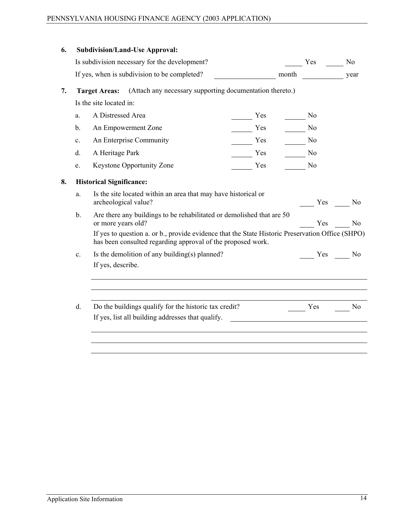| 6. |                | <b>Subdivision/Land-Use Approval:</b>                                                                                                                           |        |                    |                |
|----|----------------|-----------------------------------------------------------------------------------------------------------------------------------------------------------------|--------|--------------------|----------------|
|    |                | Is subdivision necessary for the development?                                                                                                                   |        |                    | N <sub>0</sub> |
|    |                | If yes, when is subdivision to be completed?                                                                                                                    | month  | year               |                |
| 7. |                | (Attach any necessary supporting documentation thereto.)<br><b>Target Areas:</b>                                                                                |        |                    |                |
|    |                | Is the site located in:                                                                                                                                         |        |                    |                |
|    | a.             | A Distressed Area                                                                                                                                               | Yes    | No.                |                |
|    | b.             | An Empowerment Zone                                                                                                                                             | Yes    | N <sub>o</sub>     |                |
|    | $\mathbf{c}$ . | An Enterprise Community                                                                                                                                         | Yes No |                    |                |
|    | d.             | A Heritage Park                                                                                                                                                 | Yes    | $\frac{\ }{\ }$ No |                |
|    | e.             | <b>Keystone Opportunity Zone</b><br>Yes                                                                                                                         |        | N <sub>0</sub>     |                |
| 8. |                | <b>Historical Significance:</b>                                                                                                                                 |        |                    |                |
|    | a.             | Is the site located within an area that may have historical or<br>archeological value?                                                                          |        | Yes                | N <sub>0</sub> |
|    | $\mathbf b$ .  | Are there any buildings to be rehabilitated or demolished that are 50<br>or more years old?                                                                     |        | Yes                | No             |
|    |                | If yes to question a. or b., provide evidence that the State Historic Preservation Office (SHPO)<br>has been consulted regarding approval of the proposed work. |        |                    |                |
|    | C <sub>1</sub> | Is the demolition of any building(s) planned?                                                                                                                   |        | Yes No             |                |
|    |                | If yes, describe.                                                                                                                                               |        |                    |                |
|    |                |                                                                                                                                                                 |        |                    |                |
|    | $d_{\cdot}$    | Do the buildings qualify for the historic tax credit?                                                                                                           |        | Yes                | N <sub>o</sub> |
|    |                | If yes, list all building addresses that qualify.                                                                                                               |        |                    |                |
|    |                |                                                                                                                                                                 |        |                    |                |
|    |                |                                                                                                                                                                 |        |                    |                |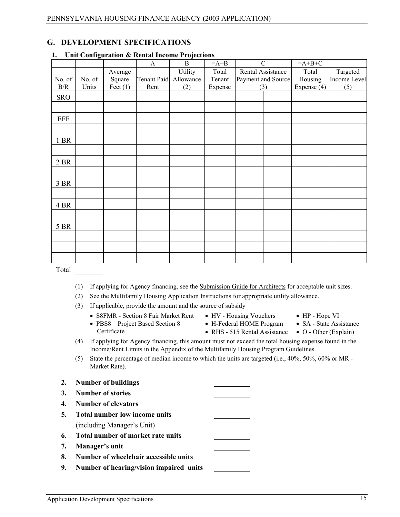### **G. DEVELOPMENT SPECIFICATIONS**

|            | 0      |            |                    |              |         |                    |             |              |
|------------|--------|------------|--------------------|--------------|---------|--------------------|-------------|--------------|
|            |        |            | $\mathbf{A}$       | $\, {\bf B}$ | $=A+B$  | $\mathcal{C}$      | $=A+B+C$    |              |
|            |        | Average    |                    | Utility      | Total   | Rental Assistance  | Total       | Targeted     |
| No. of     | No. of | Square     | <b>Tenant Paid</b> | Allowance    | Tenant  | Payment and Source | Housing     | Income Level |
| $\rm\,B/R$ | Units  | Feet $(1)$ | Rent               | (2)          | Expense | (3)                | Expense (4) | (5)          |
| <b>SRO</b> |        |            |                    |              |         |                    |             |              |
|            |        |            |                    |              |         |                    |             |              |
| <b>EFF</b> |        |            |                    |              |         |                    |             |              |
|            |        |            |                    |              |         |                    |             |              |
| 1 BR       |        |            |                    |              |         |                    |             |              |
|            |        |            |                    |              |         |                    |             |              |
| 2 BR       |        |            |                    |              |         |                    |             |              |
|            |        |            |                    |              |         |                    |             |              |
| 3 BR       |        |            |                    |              |         |                    |             |              |
|            |        |            |                    |              |         |                    |             |              |
| 4 BR       |        |            |                    |              |         |                    |             |              |
|            |        |            |                    |              |         |                    |             |              |
| 5 BR       |        |            |                    |              |         |                    |             |              |
|            |        |            |                    |              |         |                    |             |              |
|            |        |            |                    |              |         |                    |             |              |
|            |        |            |                    |              |         |                    |             |              |
| Total      |        |            |                    |              |         |                    |             |              |

#### **1. Unit Configuration & Rental Income Projections**

- (1) If applying for Agency financing, see the Submission Guide for Architects for acceptable unit sizes.
- (2) See the Multifamily Housing Application Instructions for appropriate utility allowance.

#### (3) If applicable, provide the amount and the source of subsidy

• S8FMR - Section 8 Fair Market Rent

• PBS8 – Project Based Section 8

- HV Housing Vouchers • H-Federal HOME Program
- HP Hope VI
- SA State Assistance
- RHS 515 Rental Assistance O Other (Explain)
- (4) If applying for Agency financing, this amount must not exceed the total housing expense found in the Income/Rent Limits in the Appendix of the Multifamily Housing Program Guidelines.
- (5) State the percentage of median income to which the units are targeted (i.e., 40%, 50%, 60% or MR Market Rate).

#### **2. Number of buildings**

Certificate

- **3. Number of stories**
- **4. Number of elevators**
- **5. Total number low income units** (including Manager's Unit)
- **6. Total number of market rate units**
- **7. Manager's unit**
- **8. Number of wheelchair accessible units**
- **9. Number of hearing/vision impaired units**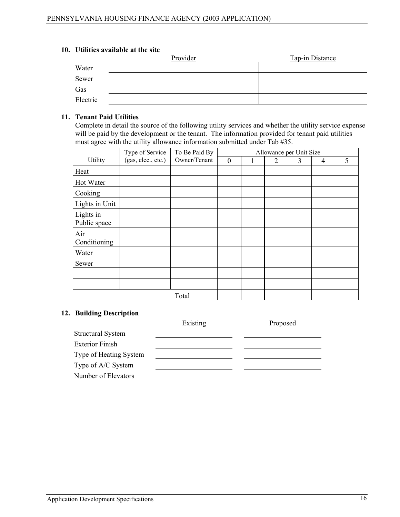#### **10. Utilities available at the site**

|          | Provider | <b>Tap-in Distance</b> |
|----------|----------|------------------------|
| Water    |          |                        |
| Sewer    |          |                        |
| Gas      |          |                        |
| Electric |          |                        |

#### **11. Tenant Paid Utilities**

Complete in detail the source of the following utility services and whether the utility service expense will be paid by the development or the tenant. The information provided for tenant paid utilities must agree with the utility allowance information submitted under Tab #35.

|                           | Type of Service    |       | To Be Paid By |          | Allowance per Unit Size |   |   |   |
|---------------------------|--------------------|-------|---------------|----------|-------------------------|---|---|---|
| Utility                   | (gas, elec., etc.) |       | Owner/Tenant  | $\theta$ | 2                       | 3 | 4 | 5 |
| Heat                      |                    |       |               |          |                         |   |   |   |
| Hot Water                 |                    |       |               |          |                         |   |   |   |
| Cooking                   |                    |       |               |          |                         |   |   |   |
| Lights in Unit            |                    |       |               |          |                         |   |   |   |
| Lights in<br>Public space |                    |       |               |          |                         |   |   |   |
| Air<br>Conditioning       |                    |       |               |          |                         |   |   |   |
| Water                     |                    |       |               |          |                         |   |   |   |
| Sewer                     |                    |       |               |          |                         |   |   |   |
|                           |                    |       |               |          |                         |   |   |   |
|                           |                    |       |               |          |                         |   |   |   |
|                           |                    | Total |               |          |                         |   |   |   |

#### **12. Building Description**

|                          | Existing | Proposed |
|--------------------------|----------|----------|
| <b>Structural System</b> |          |          |
| <b>Exterior Finish</b>   |          |          |
| Type of Heating System   |          |          |
| Type of A/C System       |          |          |
| Number of Elevators      |          |          |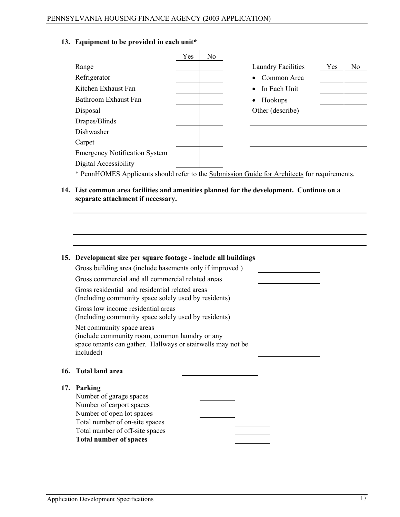#### **13. Equipment to be provided in each unit\***

|                                      | Yes | No |                                                                                              |
|--------------------------------------|-----|----|----------------------------------------------------------------------------------------------|
| Range                                |     |    | <b>Laundry Facilities</b><br>Yes<br>No                                                       |
| Refrigerator                         |     |    | Common Area                                                                                  |
| Kitchen Exhaust Fan                  |     |    | In Each Unit                                                                                 |
| Bathroom Exhaust Fan                 |     |    | Hookups                                                                                      |
| Disposal                             |     |    | Other (describe)                                                                             |
| Drapes/Blinds                        |     |    |                                                                                              |
| Dishwasher                           |     |    |                                                                                              |
| Carpet                               |     |    |                                                                                              |
| <b>Emergency Notification System</b> |     |    |                                                                                              |
| Digital Accessibility                |     |    |                                                                                              |
|                                      |     |    | * PennHOMES Applicants should refer to the Submission Guide for Architects for requirements. |

**14. List common area facilities and amenities planned for the development. Continue on a separate attachment if necessary.**

 $\mathbf{r}$ 

| 15. Development size per square footage - include all buildings                                                                                         |
|---------------------------------------------------------------------------------------------------------------------------------------------------------|
| Gross building area (include basements only if improved)                                                                                                |
| Gross commercial and all commercial related areas                                                                                                       |
| Gross residential and residential related areas<br>(Including community space solely used by residents)                                                 |
| Gross low income residential areas<br>(Including community space solely used by residents)                                                              |
| Net community space areas<br>(include community room, common laundry or any<br>space tenants can gather. Hallways or stairwells may not be<br>included) |
| 16. Total land area                                                                                                                                     |
| 17. Parking                                                                                                                                             |
| Number of garage spaces<br>Number of carport spaces                                                                                                     |
| Number of open lot spaces                                                                                                                               |
| Total number of on-site spaces                                                                                                                          |
| Total number of off-site spaces                                                                                                                         |
| <b>Total number of spaces</b>                                                                                                                           |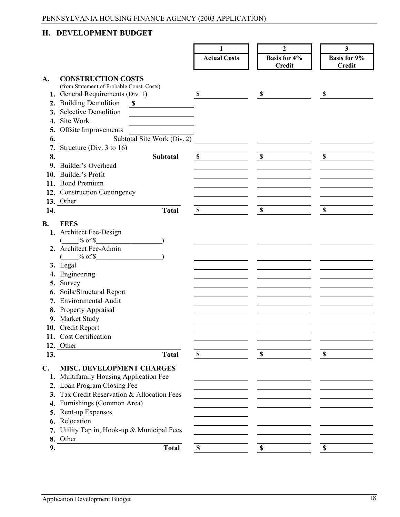# **H. DEVELOPMENT BUDGET**

|                |                                             | 1                   | $\mathbf{2}$                         | $\mathbf{3}$                         |
|----------------|---------------------------------------------|---------------------|--------------------------------------|--------------------------------------|
|                |                                             |                     |                                      |                                      |
|                |                                             | <b>Actual Costs</b> | <b>Basis for 4%</b><br><b>Credit</b> | <b>Basis for 9%</b><br><b>Credit</b> |
|                |                                             |                     |                                      |                                      |
| A.             | <b>CONSTRUCTION COSTS</b>                   |                     |                                      |                                      |
|                | (from Statement of Probable Const. Costs)   |                     |                                      |                                      |
|                | 1. General Requirements (Div. 1)            | \$                  | \$                                   | \$                                   |
|                | 2. Building Demolition<br>-SI               |                     |                                      |                                      |
| 3.             | <b>Selective Demolition</b>                 |                     |                                      |                                      |
| 4.             | Site Work                                   |                     |                                      |                                      |
| 5.             | Offsite Improvements                        |                     |                                      |                                      |
| 6.             | Subtotal Site Work (Div. 2)                 |                     |                                      |                                      |
|                |                                             |                     |                                      |                                      |
| 7.             | Structure (Div. 3 to 16)                    |                     |                                      |                                      |
| 8.             | <b>Subtotal</b>                             | $\mathbb{S}$        | $\mathbb{S}$                         | $\mathbf S$                          |
|                | 9. Builder's Overhead                       |                     |                                      |                                      |
|                | 10. Builder's Profit                        |                     |                                      |                                      |
|                | 11. Bond Premium                            |                     |                                      |                                      |
|                | 12. Construction Contingency                |                     |                                      |                                      |
|                | 13. Other                                   |                     |                                      |                                      |
| 14.            | <b>Total</b>                                | $\mathbb{S}$        | $\mathbb S$                          | \$                                   |
|                |                                             |                     |                                      |                                      |
| <b>B.</b>      | <b>FEES</b>                                 |                     |                                      |                                      |
|                | 1. Architect Fee-Design                     |                     |                                      |                                      |
|                | $%$ of \$                                   |                     |                                      |                                      |
|                | 2. Architect Fee-Admin                      |                     |                                      |                                      |
|                | $\%$ of \$                                  |                     |                                      |                                      |
|                | 3. Legal                                    |                     |                                      |                                      |
|                | 4. Engineering                              |                     |                                      |                                      |
| 5.             | Survey                                      |                     |                                      |                                      |
| 6.             | Soils/Structural Report                     |                     |                                      |                                      |
|                | 7. Environmental Audit                      |                     |                                      |                                      |
|                | 8. Property Appraisal                       |                     |                                      |                                      |
|                | 9. Market Study                             |                     |                                      |                                      |
|                | 10. Credit Report                           |                     |                                      |                                      |
|                | 11. Cost Certification                      |                     |                                      |                                      |
|                |                                             |                     |                                      |                                      |
|                | 12. Other                                   |                     |                                      |                                      |
| 13.            | <b>Total</b>                                | $\mathbb{S}$        | \$                                   | \$                                   |
| $\mathbf{C}$ . | <b>MISC. DEVELOPMENT CHARGES</b>            |                     |                                      |                                      |
|                | 1. Multifamily Housing Application Fee      |                     |                                      |                                      |
|                | 2. Loan Program Closing Fee                 |                     |                                      |                                      |
|                | 3. Tax Credit Reservation & Allocation Fees |                     |                                      |                                      |
|                |                                             |                     |                                      |                                      |
| 4.             | Furnishings (Common Area)                   |                     |                                      |                                      |
|                | 5. Rent-up Expenses                         |                     |                                      |                                      |
|                | 6. Relocation                               |                     |                                      |                                      |
|                | 7. Utility Tap in, Hook-up & Municipal Fees |                     |                                      |                                      |
|                | 8. Other                                    |                     |                                      |                                      |
| 9.             | <b>Total</b>                                | \$                  | \$                                   | \$                                   |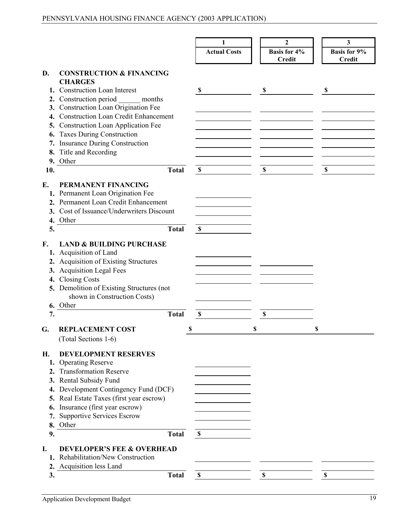|     |                                             |             | 1                   |                           | 2                   |   | 3                         |
|-----|---------------------------------------------|-------------|---------------------|---------------------------|---------------------|---|---------------------------|
|     |                                             |             | <b>Actual Costs</b> |                           | <b>Basis for 4%</b> |   | <b>Basis for 9%</b>       |
|     |                                             |             |                     |                           | <b>Credit</b>       |   | <b>Credit</b>             |
|     |                                             |             |                     |                           |                     |   |                           |
| D.  | <b>CONSTRUCTION &amp; FINANCING</b>         |             |                     |                           |                     |   |                           |
|     | <b>CHARGES</b>                              |             |                     |                           |                     |   |                           |
|     | 1. Construction Loan Interest               | \$          |                     | -S                        |                     |   | S                         |
|     | 2. Construction period months               |             |                     |                           |                     |   |                           |
| 3.  | Construction Loan Origination Fee           |             |                     |                           |                     |   |                           |
| 4.  | <b>Construction Loan Credit Enhancement</b> |             |                     |                           |                     |   |                           |
| 5.  | <b>Construction Loan Application Fee</b>    |             |                     |                           |                     |   |                           |
| 6.  | <b>Taxes During Construction</b>            |             |                     |                           |                     |   |                           |
|     | 7. Insurance During Construction            |             |                     |                           |                     |   |                           |
| 8.  | Title and Recording                         |             |                     |                           |                     |   |                           |
|     |                                             |             |                     |                           |                     |   |                           |
|     | 9. Other                                    |             |                     |                           |                     |   |                           |
| 10. | <b>Total</b>                                | $\mathbf S$ |                     | $\boldsymbol{\mathsf{S}}$ |                     |   | $\boldsymbol{\mathsf{S}}$ |
| Е.  | PERMANENT FINANCING                         |             |                     |                           |                     |   |                           |
|     |                                             |             |                     |                           |                     |   |                           |
|     | 1. Permanent Loan Origination Fee           |             |                     |                           |                     |   |                           |
|     | 2. Permanent Loan Credit Enhancement        |             |                     |                           |                     |   |                           |
|     | 3. Cost of Issuance/Underwriters Discount   |             |                     |                           |                     |   |                           |
|     | 4. Other                                    |             |                     |                           |                     |   |                           |
| 5.  | <b>Total</b>                                | $\mathbf S$ |                     |                           |                     |   |                           |
|     |                                             |             |                     |                           |                     |   |                           |
| F.  | <b>LAND &amp; BUILDING PURCHASE</b>         |             |                     |                           |                     |   |                           |
|     | 1. Acquisition of Land                      |             |                     |                           |                     |   |                           |
|     | 2. Acquisition of Existing Structures       |             |                     |                           |                     |   |                           |
|     | 3. Acquisition Legal Fees                   |             |                     |                           |                     |   |                           |
| 4.  | <b>Closing Costs</b>                        |             |                     |                           |                     |   |                           |
|     | 5. Demolition of Existing Structures (not   |             |                     |                           |                     |   |                           |
|     | shown in Construction Costs)                |             |                     |                           |                     |   |                           |
|     |                                             |             |                     |                           |                     |   |                           |
|     | 6. Other                                    |             |                     |                           |                     |   |                           |
| 7.  | <b>Total</b>                                | \$          |                     | \$                        |                     |   |                           |
| G.  | <b>REPLACEMENT COST</b>                     | J           | ъ                   |                           |                     | S |                           |
|     |                                             |             |                     |                           |                     |   |                           |
|     | (Total Sections 1-6)                        |             |                     |                           |                     |   |                           |
| Н.  | <b>DEVELOPMENT RESERVES</b>                 |             |                     |                           |                     |   |                           |
| 1.  | <b>Operating Reserve</b>                    |             |                     |                           |                     |   |                           |
|     |                                             |             |                     |                           |                     |   |                           |
| 2.  | <b>Transformation Reserve</b>               |             |                     |                           |                     |   |                           |
|     | 3. Rental Subsidy Fund                      |             |                     |                           |                     |   |                           |
| 4.  | Development Contingency Fund (DCF)          |             |                     |                           |                     |   |                           |
| 5.  | Real Estate Taxes (first year escrow)       |             |                     |                           |                     |   |                           |
| 6.  | Insurance (first year escrow)               |             |                     |                           |                     |   |                           |
| 7.  | <b>Supportive Services Escrow</b>           |             |                     |                           |                     |   |                           |
|     | 8. Other                                    |             |                     |                           |                     |   |                           |
| 9.  | <b>Total</b>                                | \$          |                     |                           |                     |   |                           |
|     |                                             |             |                     |                           |                     |   |                           |
| I.  | <b>DEVELOPER'S FEE &amp; OVERHEAD</b>       |             |                     |                           |                     |   |                           |
|     | 1. Rehabilitation/New Construction          |             |                     |                           |                     |   |                           |
|     | 2. Acquisition less Land                    |             |                     |                           |                     |   |                           |
| 3.  | <b>Total</b>                                | $\mathbb S$ |                     | $\mathbb S$               |                     |   | $\mathbb S$               |
|     |                                             |             |                     |                           |                     |   |                           |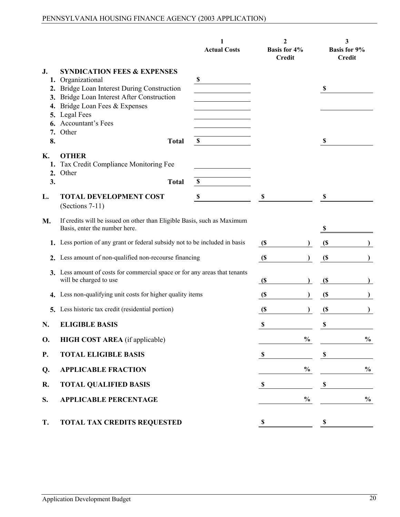|                            |                                                                                                                                                    | 1<br><b>Actual Costs</b> | $\mathbf{2}$<br><b>Basis for 4%</b><br><b>Credit</b> | 3<br><b>Basis for 9%</b><br><b>Credit</b> |
|----------------------------|----------------------------------------------------------------------------------------------------------------------------------------------------|--------------------------|------------------------------------------------------|-------------------------------------------|
| J.<br>2.<br>3.             | <b>SYNDICATION FEES &amp; EXPENSES</b><br>1. Organizational<br>Bridge Loan Interest During Construction<br>Bridge Loan Interest After Construction | \$                       |                                                      | $\boldsymbol{\mathsf{S}}$                 |
| 4.<br>5.<br>6.<br>7.<br>8. | Bridge Loan Fees & Expenses<br>Legal Fees<br>Accountant's Fees<br>Other<br><b>Total</b>                                                            | \$                       |                                                      | \$                                        |
| К.<br>1.<br>2.<br>3.       | <b>OTHER</b><br>Tax Credit Compliance Monitoring Fee<br>Other<br><b>Total</b>                                                                      | \$                       |                                                      |                                           |
| L.                         | <b>TOTAL DEVELOPMENT COST</b><br>$(Sections 7-11)$                                                                                                 | \$                       | \$                                                   | \$                                        |
| M.                         | If credits will be issued on other than Eligible Basis, such as Maximum<br>Basis, enter the number here.                                           |                          |                                                      | $\boldsymbol{\mathsf{s}}$                 |
|                            | 1. Less portion of any grant or federal subsidy not to be included in basis                                                                        |                          | $\mathfrak{S}$                                       | (S                                        |
|                            | 2. Less amount of non-qualified non-recourse financing                                                                                             |                          | $\mathfrak{S}$                                       | $\mathfrak{S}$                            |
|                            | 3. Less amount of costs for commercial space or for any areas that tenants<br>will be charged to use                                               |                          | $\mathcal{S}$                                        | $\mathfrak{S}$                            |
| 4.                         | Less non-qualifying unit costs for higher quality items                                                                                            |                          | $\mathfrak{S}$                                       | $\mathfrak{S}$                            |
| 5.                         | Less historic tax credit (residential portion)                                                                                                     |                          | $\left( \mathbf{\$} \right)$                         | $\left( \mathbf{\$} \right)$              |
| N.                         | <b>ELIGIBLE BASIS</b>                                                                                                                              |                          | \$                                                   | \$                                        |
| <b>O.</b>                  | <b>HIGH COST AREA</b> (if applicable)                                                                                                              |                          | $\frac{0}{0}$                                        | $\frac{0}{0}$                             |
| <b>P.</b>                  | <b>TOTAL ELIGIBLE BASIS</b>                                                                                                                        |                          | $\boldsymbol{\mathsf{S}}$                            | $\boldsymbol{\mathsf{S}}$                 |
| Q.                         | <b>APPLICABLE FRACTION</b>                                                                                                                         |                          | $\frac{0}{0}$                                        | $\frac{0}{0}$                             |
| R.                         | <b>TOTAL QUALIFIED BASIS</b>                                                                                                                       |                          | $\boldsymbol{\mathsf{S}}$                            | $\mathbb S$                               |
| S.                         | <b>APPLICABLE PERCENTAGE</b>                                                                                                                       |                          | $\frac{0}{0}$                                        | $\frac{0}{0}$                             |
| T.                         | <b>TOTAL TAX CREDITS REQUESTED</b>                                                                                                                 |                          | \$                                                   | \$                                        |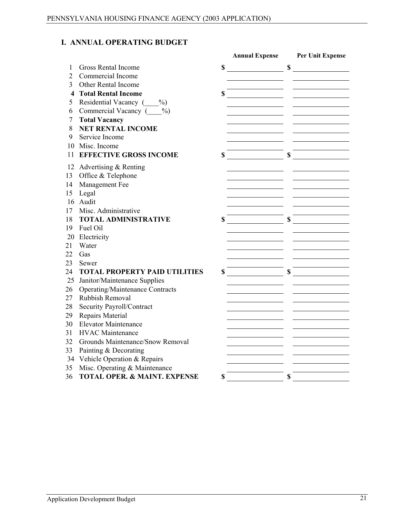# **I. ANNUAL OPERATING BUDGET**

|                |                                         | <b>Annual Expense</b> | Per Unit Expense |
|----------------|-----------------------------------------|-----------------------|------------------|
| 1              | <b>Gross Rental Income</b>              | \$                    | \$               |
| $\overline{2}$ | Commercial Income                       |                       |                  |
| 3              | <b>Other Rental Income</b>              |                       |                  |
| 4              | <b>Total Rental Income</b>              | \$                    |                  |
| 5              | Residential Vacancy (%)                 |                       |                  |
| 6              | Commercial Vacancy (%)                  |                       |                  |
| 7              | <b>Total Vacancy</b>                    |                       |                  |
| 8              | <b>NET RENTAL INCOME</b>                |                       |                  |
| 9              | Service Income                          |                       |                  |
| 10             | Misc. Income                            |                       |                  |
| 11             | <b>EFFECTIVE GROSS INCOME</b>           | \$                    | \$               |
| 12             | Advertising & Renting                   |                       |                  |
| 13             | Office & Telephone                      |                       |                  |
| 14             | Management Fee                          |                       |                  |
| 15             | Legal                                   |                       |                  |
|                | 16 Audit                                |                       |                  |
| 17             | Misc. Administrative                    |                       |                  |
| 18             | <b>TOTAL ADMINISTRATIVE</b>             | \$                    | \$               |
| 19             | Fuel Oil                                |                       |                  |
| 20             | Electricity                             |                       |                  |
| 21             | Water                                   |                       |                  |
| 22             | Gas                                     |                       |                  |
| 23             | Sewer                                   |                       |                  |
| 24             | <b>TOTAL PROPERTY PAID UTILITIES</b>    | \$                    | \$               |
| 25             | Janitor/Maintenance Supplies            |                       |                  |
| 26             | <b>Operating/Maintenance Contracts</b>  |                       |                  |
| 27             | Rubbish Removal                         |                       |                  |
| 28             | Security Payroll/Contract               |                       |                  |
| 29             | Repairs Material                        |                       |                  |
| 30             | <b>Elevator Maintenance</b>             |                       |                  |
| 31             | <b>HVAC</b> Maintenance                 |                       |                  |
| 32             | Grounds Maintenance/Snow Removal        |                       |                  |
| 33             | Painting & Decorating                   |                       |                  |
| 34             | Vehicle Operation & Repairs             |                       |                  |
| 35             | Misc. Operating & Maintenance           |                       |                  |
| 36             | <b>TOTAL OPER. &amp; MAINT. EXPENSE</b> | \$                    | \$               |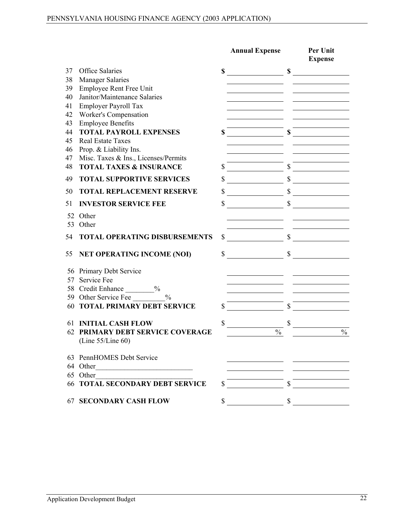|          |                                                                |               | <b>Annual Expense</b> |              | Per Unit<br><b>Expense</b> |
|----------|----------------------------------------------------------------|---------------|-----------------------|--------------|----------------------------|
| 37       | <b>Office Salaries</b>                                         | \$            |                       | $\mathbb{S}$ |                            |
| 38       | <b>Manager Salaries</b>                                        |               |                       |              |                            |
| 39       | Employee Rent Free Unit                                        |               |                       |              |                            |
| 40       | Janitor/Maintenance Salaries                                   |               |                       |              |                            |
| 41       | Employer Payroll Tax                                           |               |                       |              |                            |
| 42       | <b>Worker's Compensation</b>                                   |               |                       |              |                            |
| 43       | <b>Employee Benefits</b>                                       |               |                       |              |                            |
| 44       | <b>TOTAL PAYROLL EXPENSES</b>                                  | $\mathbf S$   |                       | $\mathbf S$  |                            |
| 45<br>46 | <b>Real Estate Taxes</b>                                       |               |                       |              |                            |
| 47       | Prop. & Liability Ins.<br>Misc. Taxes & Ins., Licenses/Permits |               |                       |              |                            |
| 48       | <b>TOTAL TAXES &amp; INSURANCE</b>                             | \$            |                       |              |                            |
| 49       | <b>TOTAL SUPPORTIVE SERVICES</b>                               | $\mathbb{S}$  |                       | $\mathbb{S}$ |                            |
| 50       | <b>TOTAL REPLACEMENT RESERVE</b>                               | $\mathbf S$   |                       |              | $\sim$                     |
| 51       | <b>INVESTOR SERVICE FEE</b>                                    | \$            |                       |              |                            |
|          | 52 Other                                                       |               |                       |              |                            |
| 53       | Other                                                          |               |                       |              |                            |
| 54       | <b>TOTAL OPERATING DISBURSEMENTS</b>                           | \$            |                       | $\mathbb{S}$ |                            |
| 55       | <b>NET OPERATING INCOME (NOI)</b>                              | $\mathcal{S}$ |                       | $\mathbb{S}$ |                            |
|          | 56 Primary Debt Service                                        |               |                       |              |                            |
|          | 57 Service Fee                                                 |               |                       |              |                            |
|          | 58 Credit Enhance _________%                                   |               |                       |              |                            |
|          | 59 Other Service Fee<br>$\frac{0}{0}$                          |               |                       |              |                            |
|          | <b>60 TOTAL PRIMARY DEBT SERVICE</b>                           | $\mathbb{S}$  |                       |              |                            |
|          | <b>61 INITIAL CASH FLOW</b>                                    | \$            |                       | \$           |                            |
|          | 62 PRIMARY DEBT SERVICE COVERAGE<br>(Line $55$ /Line 60)       |               | $\frac{0}{0}$         |              | $\frac{0}{0}$              |
|          | 63 PennHOMES Debt Service                                      |               |                       |              |                            |
|          | 64 Other                                                       |               |                       |              |                            |
|          | 65 Other                                                       |               |                       |              |                            |
|          | <b>66 TOTAL SECONDARY DEBT SERVICE</b>                         | \$            |                       |              |                            |
| 67       | <b>SECONDARY CASH FLOW</b>                                     | \$            |                       | \$           |                            |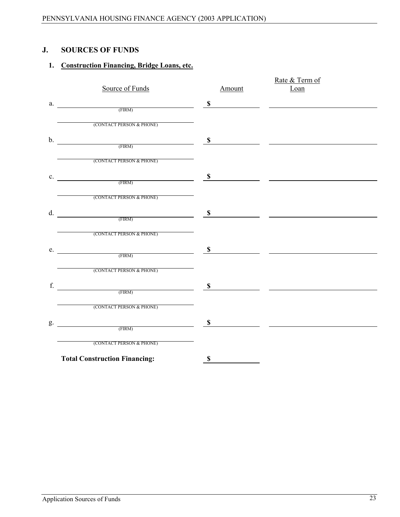#### **J. SOURCES OF FUNDS**

# **1. Construction Financing, Bridge Loans, etc.**

|    |                                                   |              | Rate & Term of                                                                                                         |
|----|---------------------------------------------------|--------------|------------------------------------------------------------------------------------------------------------------------|
|    | Source of Funds                                   | Amount       | Loan                                                                                                                   |
| a. | $\left( \text{FIRM}\right)$                       | $\mathbb{S}$ |                                                                                                                        |
|    |                                                   |              |                                                                                                                        |
|    | (CONTACT PERSON & PHONE)                          |              |                                                                                                                        |
| b. |                                                   | $\mathbf s$  |                                                                                                                        |
|    | (FIRM)                                            |              |                                                                                                                        |
|    | (CONTACT PERSON & PHONE)                          |              |                                                                                                                        |
|    |                                                   | \$           | <u> 1989 - Johann John Stein, mars et al. 1989 - John Stein, mars et al. 1989 - John Stein, mars et al. 1989 - Joh</u> |
|    | $C.$ (FIRM)                                       |              |                                                                                                                        |
|    | (CONTACT PERSON & PHONE)                          |              |                                                                                                                        |
| d. |                                                   |              |                                                                                                                        |
|    | $\bullet$ (FIRM) $\bullet$ 5                      |              | <u> 1980 - Jan James James, martin a</u>                                                                               |
|    | (CONTACT PERSON & PHONE)                          |              |                                                                                                                        |
| e. |                                                   |              |                                                                                                                        |
|    | $\overline{\text{FIRM}}$ $\overline{\text{FIRM}}$ |              |                                                                                                                        |
|    | (CONTACT PERSON & PHONE)                          |              |                                                                                                                        |
| f. | $\overbrace{\hspace{2.5cm}}^{\text{CFIRM)}}$      |              |                                                                                                                        |
|    |                                                   |              |                                                                                                                        |
|    | (CONTACT PERSON & PHONE)                          |              |                                                                                                                        |
|    |                                                   |              |                                                                                                                        |
|    | $g.$ $g.$ (FIRM) $g$                              |              |                                                                                                                        |
|    | (CONTACT PERSON & PHONE)                          |              |                                                                                                                        |
|    | <b>Total Construction Financing:</b>              | $\mathbb S$  |                                                                                                                        |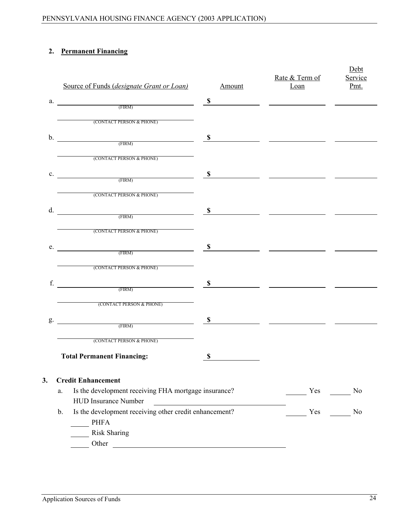# **2. Permanent Financing**

|                | Source of Funds (designate Grant or Loan)                                          | Amount        | Rate & Term of<br>L <sub>oan</sub> | Debt<br>Service<br>Pmt.  |
|----------------|------------------------------------------------------------------------------------|---------------|------------------------------------|--------------------------|
| a.             | $\overline{\mathbf{S}}$                                                            |               |                                    | $\overline{\phantom{a}}$ |
|                |                                                                                    |               |                                    |                          |
|                | (CONTACT PERSON & PHONE)                                                           |               |                                    |                          |
| $\mathbf{b}$ . | (FIRM)                                                                             | \$            |                                    |                          |
|                |                                                                                    |               |                                    |                          |
|                | (CONTACT PERSON & PHONE)                                                           |               |                                    |                          |
| $\mathbf{c}$ . | (FIRM)                                                                             | $\mathbf{\$}$ |                                    |                          |
|                |                                                                                    |               |                                    |                          |
|                | (CONTACT PERSON & PHONE)                                                           |               |                                    |                          |
|                | d. $S$                                                                             |               |                                    |                          |
|                |                                                                                    |               |                                    |                          |
|                | (CONTACT PERSON & PHONE)                                                           |               |                                    |                          |
| e.             | (FIRM)                                                                             | \$            |                                    |                          |
|                |                                                                                    |               |                                    |                          |
|                | (CONTACT PERSON & PHONE)                                                           |               |                                    |                          |
| f.             | $\Gamma$ (FIRM)                                                                    | \$            |                                    |                          |
|                |                                                                                    |               |                                    |                          |
|                | (CONTACT PERSON & PHONE)                                                           |               |                                    |                          |
| g.             | $(FIRM)$ $\qquad \qquad$ $\qquad \qquad$ $\qquad \qquad$ $\qquad \qquad$           |               |                                    |                          |
|                |                                                                                    |               |                                    |                          |
|                | (CONTACT PERSON & PHONE)                                                           |               |                                    |                          |
|                | <b>Total Permanent Financing:</b>                                                  | $\mathbb S$   |                                    |                          |
|                |                                                                                    |               |                                    |                          |
| 3.             | <b>Credit Enhancement</b>                                                          |               | Yes                                | N <sub>0</sub>           |
|                | Is the development receiving FHA mortgage insurance?<br>a.<br>HUD Insurance Number |               |                                    |                          |
|                | Is the development receiving other credit enhancement?<br>b.                       |               | Yes                                | N <sub>0</sub>           |
|                | <b>PHFA</b>                                                                        |               |                                    |                          |
|                | <b>Risk Sharing</b>                                                                |               |                                    |                          |
|                |                                                                                    |               |                                    |                          |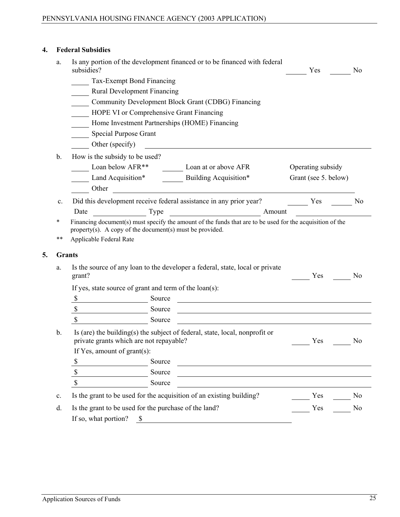#### **4. Federal Subsidies**

**5. Grants**

| a.             | subsidies?                                                             | Is any portion of the development financed or to be financed with federal                                                                                                                                                     | Yes                  | N <sub>0</sub> |
|----------------|------------------------------------------------------------------------|-------------------------------------------------------------------------------------------------------------------------------------------------------------------------------------------------------------------------------|----------------------|----------------|
|                | Tax-Exempt Bond Financing                                              |                                                                                                                                                                                                                               |                      |                |
|                | <b>Rural Development Financing</b>                                     |                                                                                                                                                                                                                               |                      |                |
|                |                                                                        | Community Development Block Grant (CDBG) Financing                                                                                                                                                                            |                      |                |
|                | <b>HOPE VI or Comprehensive Grant Financing</b>                        |                                                                                                                                                                                                                               |                      |                |
|                | Home Investment Partnerships (HOME) Financing                          |                                                                                                                                                                                                                               |                      |                |
|                | <b>Special Purpose Grant</b>                                           |                                                                                                                                                                                                                               |                      |                |
|                | Other (specify)                                                        |                                                                                                                                                                                                                               |                      |                |
| $\mathbf b$ .  | How is the subsidy to be used?                                         |                                                                                                                                                                                                                               |                      |                |
|                |                                                                        | Loan below AFR <sup>**</sup> Loan at or above AFR                                                                                                                                                                             | Operating subsidy    |                |
|                |                                                                        | Land Acquisition* _________ Building Acquisition*                                                                                                                                                                             | Grant (see 5. below) |                |
|                |                                                                        | Other contact the contract of the contract of the contract of the contract of the contract of the contract of the contract of the contract of the contract of the contract of the contract of the contract of the contract of |                      |                |
| $\mathbf{c}$ . |                                                                        | Did this development receive federal assistance in any prior year? Yes                                                                                                                                                        |                      | N <sub>o</sub> |
|                | Type<br>Date                                                           | Amount                                                                                                                                                                                                                        |                      |                |
| $***$<br>a.    | Applicable Federal Rate<br><b>Grants</b><br>grant?                     | Is the source of any loan to the developer a federal, state, local or private                                                                                                                                                 | Yes                  | N <sub>0</sub> |
|                | If yes, state source of grant and term of the loan(s):                 |                                                                                                                                                                                                                               |                      |                |
|                | $\boldsymbol{\mathsf{S}}$                                              | Source<br><u> 1980 - Johann Stoff, deutscher Stoff, der Stoff, der Stoff, der Stoff, der Stoff, der Stoff, der Stoff, der S</u>                                                                                               |                      |                |
|                | $\mathbb S$                                                            | Source<br><u> 1980 - Johann Barn, mars ann an t-Amhain an t-Amhain an t-Amhain an t-Amhain an t-Amhain an t-Amhain an t-Amh</u>                                                                                               |                      |                |
|                | \$                                                                     | Source                                                                                                                                                                                                                        |                      |                |
| $\mathbf b$ .  | private grants which are not repayable?<br>If Yes, amount of grant(s): | Is (are) the building(s) the subject of federal, state, local, nonprofit or                                                                                                                                                   | Yes                  | N <sub>0</sub> |
|                | \$                                                                     | Source<br><u> 1989 - John Stein, mars and de Brazilian (b. 1989)</u>                                                                                                                                                          |                      |                |
|                | \$                                                                     | Source                                                                                                                                                                                                                        |                      |                |
|                | $\mathbb S$                                                            | Source                                                                                                                                                                                                                        |                      |                |
| c.             |                                                                        | Is the grant to be used for the acquisition of an existing building?                                                                                                                                                          | Yes                  | N <sub>0</sub> |
| d.             | Is the grant to be used for the purchase of the land?                  |                                                                                                                                                                                                                               | Yes                  | N <sub>0</sub> |
|                | If so, what portion?<br>$\boldsymbol{\mathsf{S}}$                      |                                                                                                                                                                                                                               |                      |                |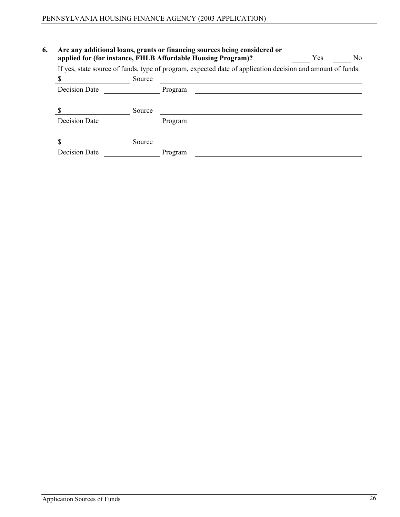| 6. | Are any additional loans, grants or financing sources being considered or<br>applied for (for instance, FHLB Affordable Housing Program)? | Yes    | No      |  |  |  |  |  |
|----|-------------------------------------------------------------------------------------------------------------------------------------------|--------|---------|--|--|--|--|--|
|    | If yes, state source of funds, type of program, expected date of application decision and amount of funds:                                |        |         |  |  |  |  |  |
|    |                                                                                                                                           | Source |         |  |  |  |  |  |
|    | <b>Decision Date</b>                                                                                                                      |        | Program |  |  |  |  |  |
|    |                                                                                                                                           | Source |         |  |  |  |  |  |
|    | Decision Date                                                                                                                             |        | Program |  |  |  |  |  |
|    |                                                                                                                                           | Source |         |  |  |  |  |  |
|    | <b>Decision Date</b>                                                                                                                      |        | Program |  |  |  |  |  |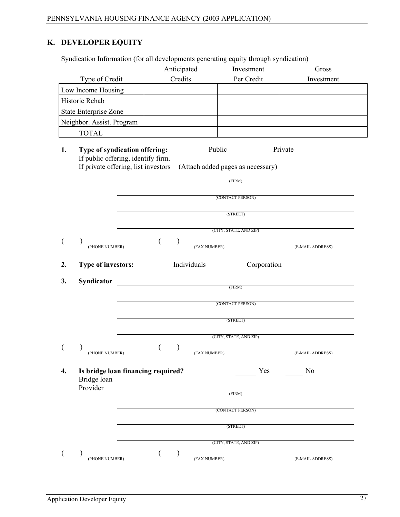# **K. DEVELOPER EQUITY**

|    | Syndication Information (for all developments generating equity through syndication)                       |                   |                                                        |                  |
|----|------------------------------------------------------------------------------------------------------------|-------------------|--------------------------------------------------------|------------------|
|    |                                                                                                            | Anticipated       | Investment                                             | Gross            |
|    | Type of Credit                                                                                             | Credits           | Per Credit                                             | Investment       |
|    | Low Income Housing                                                                                         |                   |                                                        |                  |
|    | Historic Rehab                                                                                             |                   |                                                        |                  |
|    | <b>State Enterprise Zone</b>                                                                               |                   |                                                        |                  |
|    | Neighbor. Assist. Program                                                                                  |                   |                                                        |                  |
|    | <b>TOTAL</b>                                                                                               |                   |                                                        |                  |
| 1. | Type of syndication offering:<br>If public offering, identify firm.<br>If private offering, list investors | Public            | Private<br>(Attach added pages as necessary)<br>(FIRM) |                  |
|    |                                                                                                            |                   | (CONTACT PERSON)<br>(STREET)                           |                  |
|    |                                                                                                            |                   | (CITY, STATE, AND ZIP)                                 |                  |
|    |                                                                                                            |                   | (FAX NUMBER)                                           |                  |
|    | (PHONE NUMBER)                                                                                             |                   |                                                        | (E-MAIL ADDRESS) |
| 2. | <b>Type of investors:</b>                                                                                  | Individuals       | Corporation                                            |                  |
|    |                                                                                                            |                   |                                                        |                  |
| 3. | Syndicator                                                                                                 |                   | (FIRM)                                                 |                  |
|    |                                                                                                            |                   | (CONTACT PERSON)                                       |                  |
|    |                                                                                                            |                   | (STREET)                                               |                  |
|    |                                                                                                            |                   |                                                        |                  |
|    |                                                                                                            |                   | (CITY, STATE, AND ZIP)                                 |                  |
| (  | (PHONE NUMBER)                                                                                             | (<br>(FAX NUMBER) |                                                        | (E-MAIL ADDRESS) |
| 4. | Is bridge loan financing required?<br>Bridge loan<br>Provider                                              |                   | Yes                                                    | N <sub>0</sub>   |
|    |                                                                                                            |                   | (FIRM)                                                 |                  |
|    |                                                                                                            |                   | (CONTACT PERSON)                                       |                  |
|    |                                                                                                            |                   | (STREET)                                               |                  |
|    |                                                                                                            |                   |                                                        |                  |
|    |                                                                                                            |                   | (CITY, STATE, AND ZIP)                                 |                  |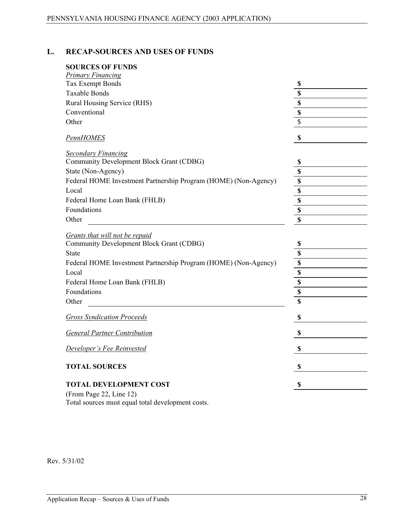# **L. RECAP-SOURCES AND USES OF FUNDS**

| <b>SOURCES OF FUNDS</b>                                         |                           |
|-----------------------------------------------------------------|---------------------------|
| Primary Financing                                               |                           |
| Tax Exempt Bonds                                                | \$                        |
| <b>Taxable Bonds</b>                                            | \$                        |
| Rural Housing Service (RHS)                                     | \$                        |
| Conventional                                                    | \$                        |
| Other                                                           | \$                        |
| <b>PennHOMES</b>                                                | \$                        |
| <b>Secondary Financing</b>                                      |                           |
| Community Development Block Grant (CDBG)                        | \$                        |
| State (Non-Agency)                                              | \$                        |
| Federal HOME Investment Partnership Program (HOME) (Non-Agency) | \$                        |
| Local                                                           | \$                        |
| Federal Home Loan Bank (FHLB)                                   | \$                        |
| Foundations                                                     | \$                        |
| Other                                                           | \$                        |
| Grants that will not be repaid                                  |                           |
| Community Development Block Grant (CDBG)                        | \$                        |
| <b>State</b>                                                    | \$                        |
| Federal HOME Investment Partnership Program (HOME) (Non-Agency) | $\overline{\mathbf{S}}$   |
| Local                                                           | \$                        |
| Federal Home Loan Bank (FHLB)                                   | \$                        |
| Foundations                                                     | \$                        |
| Other                                                           | \$                        |
| <b>Gross Syndication Proceeds</b>                               | \$                        |
| <b>General Partner Contribution</b>                             | $\boldsymbol{\mathsf{S}}$ |
| Developer's Fee Reinvested                                      | \$                        |
| <b>TOTAL SOURCES</b>                                            | \$                        |
| <b>TOTAL DEVELOPMENT COST</b>                                   | \$                        |
| $(\text{From } \text{Dose } 22 \text{ line } 12)$               |                           |

(From Page 22, Line 12) Total sources must equal total development costs.

Rev. 5/31/02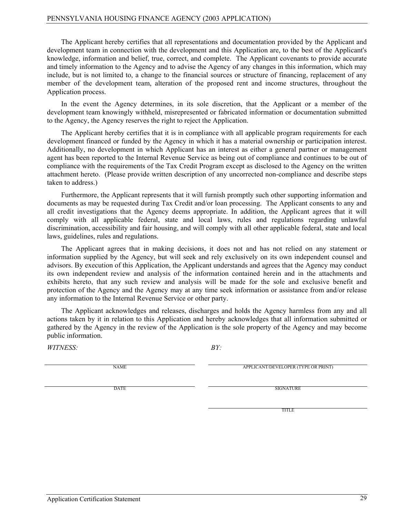The Applicant hereby certifies that all representations and documentation provided by the Applicant and development team in connection with the development and this Application are, to the best of the Applicant's knowledge, information and belief, true, correct, and complete. The Applicant covenants to provide accurate and timely information to the Agency and to advise the Agency of any changes in this information, which may include, but is not limited to, a change to the financial sources or structure of financing, replacement of any member of the development team, alteration of the proposed rent and income structures, throughout the Application process.

In the event the Agency determines, in its sole discretion, that the Applicant or a member of the development team knowingly withheld, misrepresented or fabricated information or documentation submitted to the Agency, the Agency reserves the right to reject the Application.

The Applicant hereby certifies that it is in compliance with all applicable program requirements for each development financed or funded by the Agency in which it has a material ownership or participation interest. Additionally, no development in which Applicant has an interest as either a general partner or management agent has been reported to the Internal Revenue Service as being out of compliance and continues to be out of compliance with the requirements of the Tax Credit Program except as disclosed to the Agency on the written attachment hereto. (Please provide written description of any uncorrected non-compliance and describe steps taken to address.)

Furthermore, the Applicant represents that it will furnish promptly such other supporting information and documents as may be requested during Tax Credit and/or loan processing. The Applicant consents to any and all credit investigations that the Agency deems appropriate. In addition, the Applicant agrees that it will comply with all applicable federal, state and local laws, rules and regulations regarding unlawful discrimination, accessibility and fair housing, and will comply with all other applicable federal, state and local laws, guidelines, rules and regulations.

The Applicant agrees that in making decisions, it does not and has not relied on any statement or information supplied by the Agency, but will seek and rely exclusively on its own independent counsel and advisors. By execution of this Application, the Applicant understands and agrees that the Agency may conduct its own independent review and analysis of the information contained herein and in the attachments and exhibits hereto, that any such review and analysis will be made for the sole and exclusive benefit and protection of the Agency and the Agency may at any time seek information or assistance from and/or release any information to the Internal Revenue Service or other party.

The Applicant acknowledges and releases, discharges and holds the Agency harmless from any and all actions taken by it in relation to this Application and hereby acknowledges that all information submitted or gathered by the Agency in the review of the Application is the sole property of the Agency and may become public information.

*WITNESS: BY:*

NAME APPLICANT/DEVELOPER (TYPE OR PRINT)

DATE SIGNATURE

TITLE